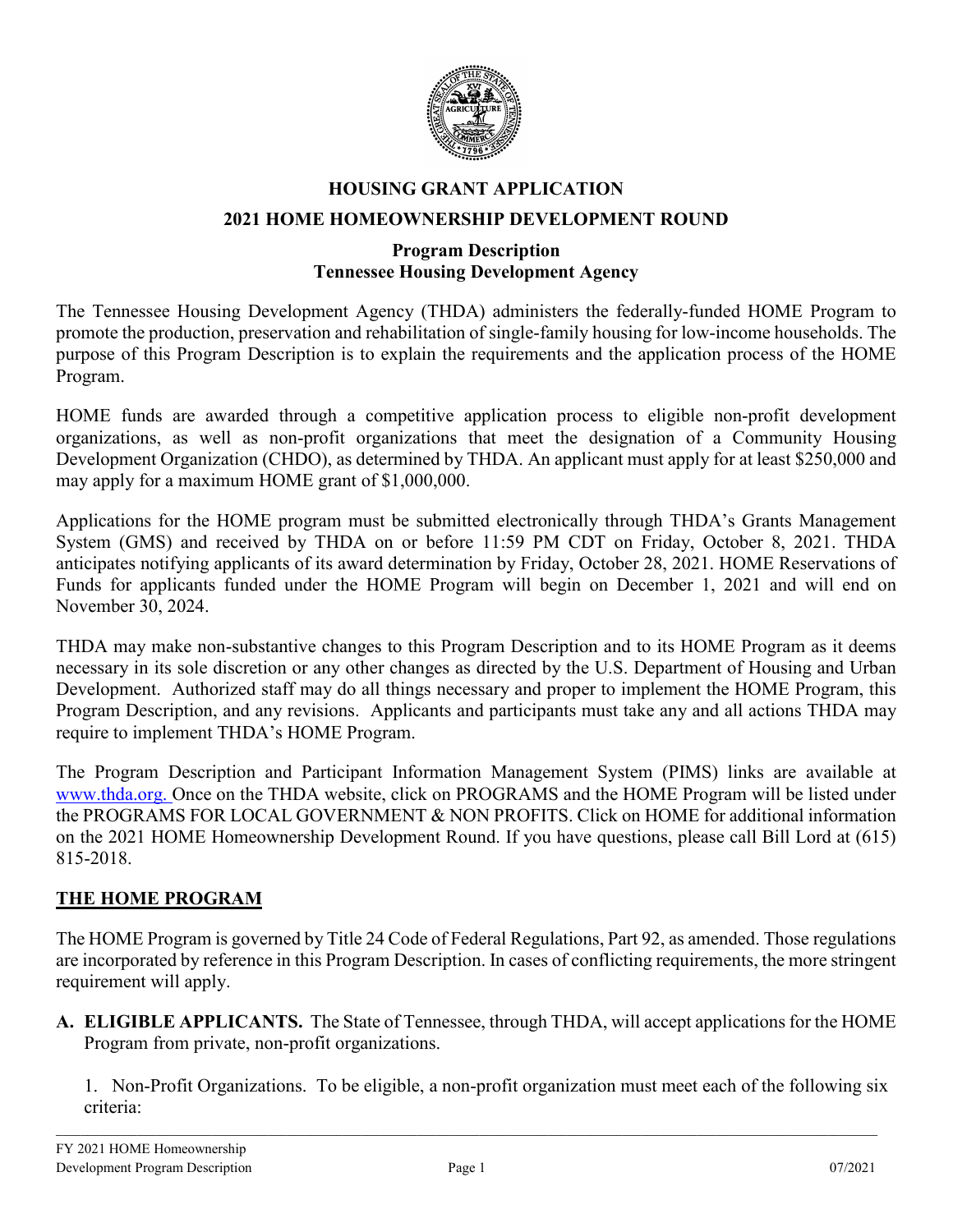

# **HOUSING GRANT APPLICATION 2021 HOME HOMEOWNERSHIP DEVELOPMENT ROUND**

# **Program Description Tennessee Housing Development Agency**

The Tennessee Housing Development Agency (THDA) administers the federally-funded HOME Program to promote the production, preservation and rehabilitation of single-family housing for low-income households. The purpose of this Program Description is to explain the requirements and the application process of the HOME Program.

HOME funds are awarded through a competitive application process to eligible non-profit development organizations, as well as non-profit organizations that meet the designation of a Community Housing Development Organization (CHDO), as determined by THDA. An applicant must apply for at least \$250,000 and may apply for a maximum HOME grant of \$1,000,000.

Applications for the HOME program must be submitted electronically through THDA's Grants Management System (GMS) and received by THDA on or before 11:59 PM CDT on Friday, October 8, 2021. THDA anticipates notifying applicants of its award determination by Friday, October 28, 2021. HOME Reservations of Funds for applicants funded under the HOME Program will begin on December 1, 2021 and will end on November 30, 2024.

THDA may make non-substantive changes to this Program Description and to its HOME Program as it deems necessary in its sole discretion or any other changes as directed by the U.S. Department of Housing and Urban Development. Authorized staff may do all things necessary and proper to implement the HOME Program, this Program Description, and any revisions. Applicants and participants must take any and all actions THDA may require to implement THDA's HOME Program.

The Program Description and Participant Information Management System (PIMS) links are available at [www.thda.org. O](http://www.thda.org/)nce on the THDA website, click on PROGRAMS and the HOME Program will be listed under the PROGRAMS FOR LOCAL GOVERNMENT & NON PROFITS. Click on HOME for additional information on the 2021 HOME Homeownership Development Round. If you have questions, please call Bill Lord at (615) 815-2018.

# **THE HOME PROGRAM**

The HOME Program is governed by Title 24 Code of Federal Regulations, Part 92, as amended. Those regulations are incorporated by reference in this Program Description. In cases of conflicting requirements, the more stringent requirement will apply.

**A. ELIGIBLE APPLICANTS.** The State of Tennessee, through THDA, will accept applications for the HOME Program from private, non-profit organizations.

1. Non-Profit Organizations. To be eligible, a non-profit organization must meet each of the following six criteria: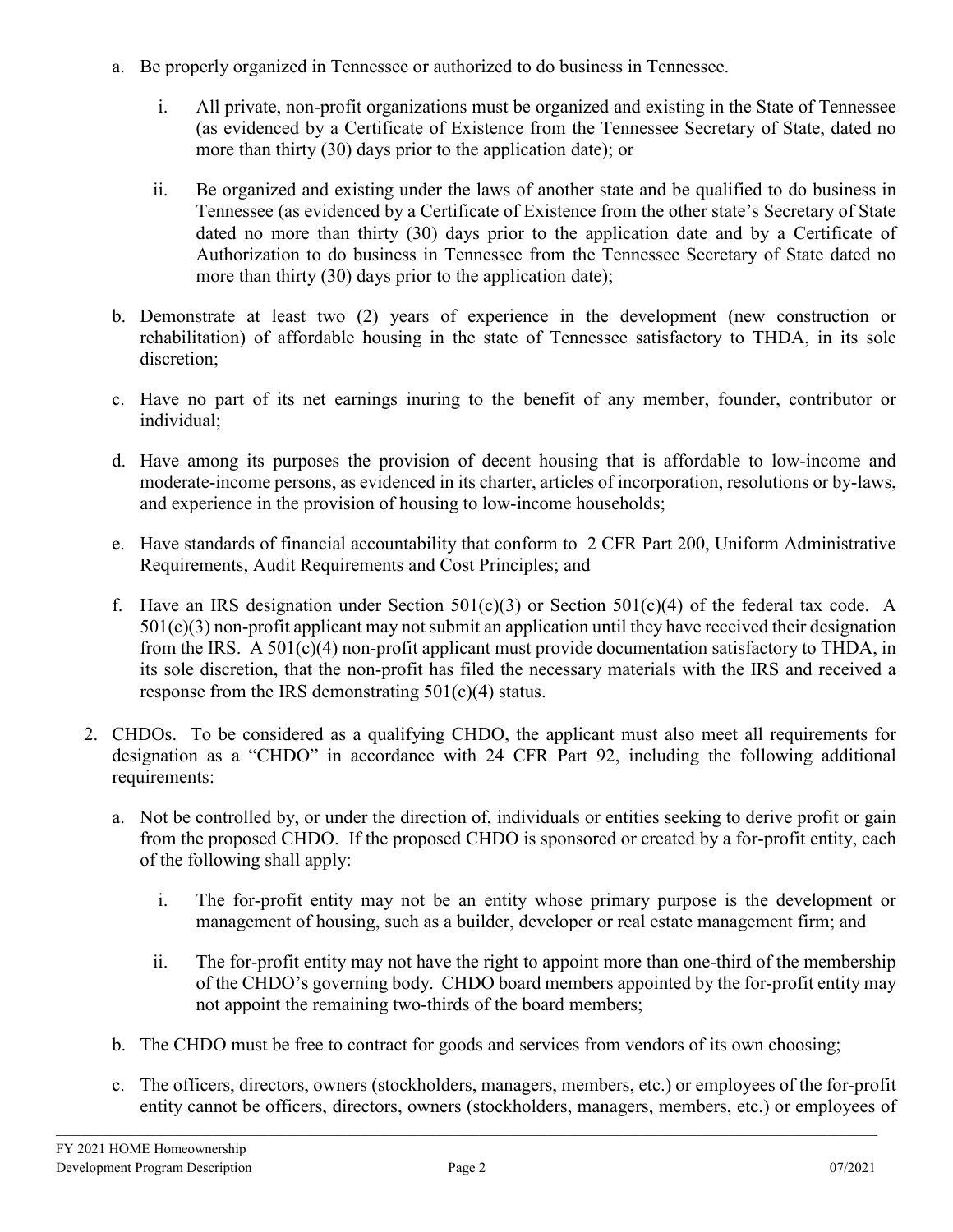- a. Be properly organized in Tennessee or authorized to do business in Tennessee.
	- i. All private, non-profit organizations must be organized and existing in the State of Tennessee (as evidenced by a Certificate of Existence from the Tennessee Secretary of State, dated no more than thirty (30) days prior to the application date); or
	- ii. Be organized and existing under the laws of another state and be qualified to do business in Tennessee (as evidenced by a Certificate of Existence from the other state's Secretary of State dated no more than thirty (30) days prior to the application date and by a Certificate of Authorization to do business in Tennessee from the Tennessee Secretary of State dated no more than thirty (30) days prior to the application date);
- b. Demonstrate at least two (2) years of experience in the development (new construction or rehabilitation) of affordable housing in the state of Tennessee satisfactory to THDA, in its sole discretion;
- c. Have no part of its net earnings inuring to the benefit of any member, founder, contributor or individual;
- d. Have among its purposes the provision of decent housing that is affordable to low-income and moderate-income persons, as evidenced in its charter, articles of incorporation, resolutions or by-laws, and experience in the provision of housing to low-income households;
- e. Have standards of financial accountability that conform to 2 CFR Part 200, Uniform Administrative Requirements, Audit Requirements and Cost Principles; and
- f. Have an IRS designation under Section  $501(c)(3)$  or Section  $501(c)(4)$  of the federal tax code. A  $501(c)(3)$  non-profit applicant may not submit an application until they have received their designation from the IRS. A 501(c)(4) non-profit applicant must provide documentation satisfactory to THDA, in its sole discretion, that the non-profit has filed the necessary materials with the IRS and received a response from the IRS demonstrating  $501(c)(4)$  status.
- 2. CHDOs. To be considered as a qualifying CHDO, the applicant must also meet all requirements for designation as a "CHDO" in accordance with 24 CFR Part 92, including the following additional requirements:
	- a. Not be controlled by, or under the direction of, individuals or entities seeking to derive profit or gain from the proposed CHDO. If the proposed CHDO is sponsored or created by a for-profit entity, each of the following shall apply:
		- i. The for-profit entity may not be an entity whose primary purpose is the development or management of housing, such as a builder, developer or real estate management firm; and
		- ii. The for-profit entity may not have the right to appoint more than one-third of the membership of the CHDO's governing body. CHDO board members appointed by the for-profit entity may not appoint the remaining two-thirds of the board members;
	- b. The CHDO must be free to contract for goods and services from vendors of its own choosing;
	- c. The officers, directors, owners (stockholders, managers, members, etc.) or employees of the for-profit entity cannot be officers, directors, owners (stockholders, managers, members, etc.) or employees of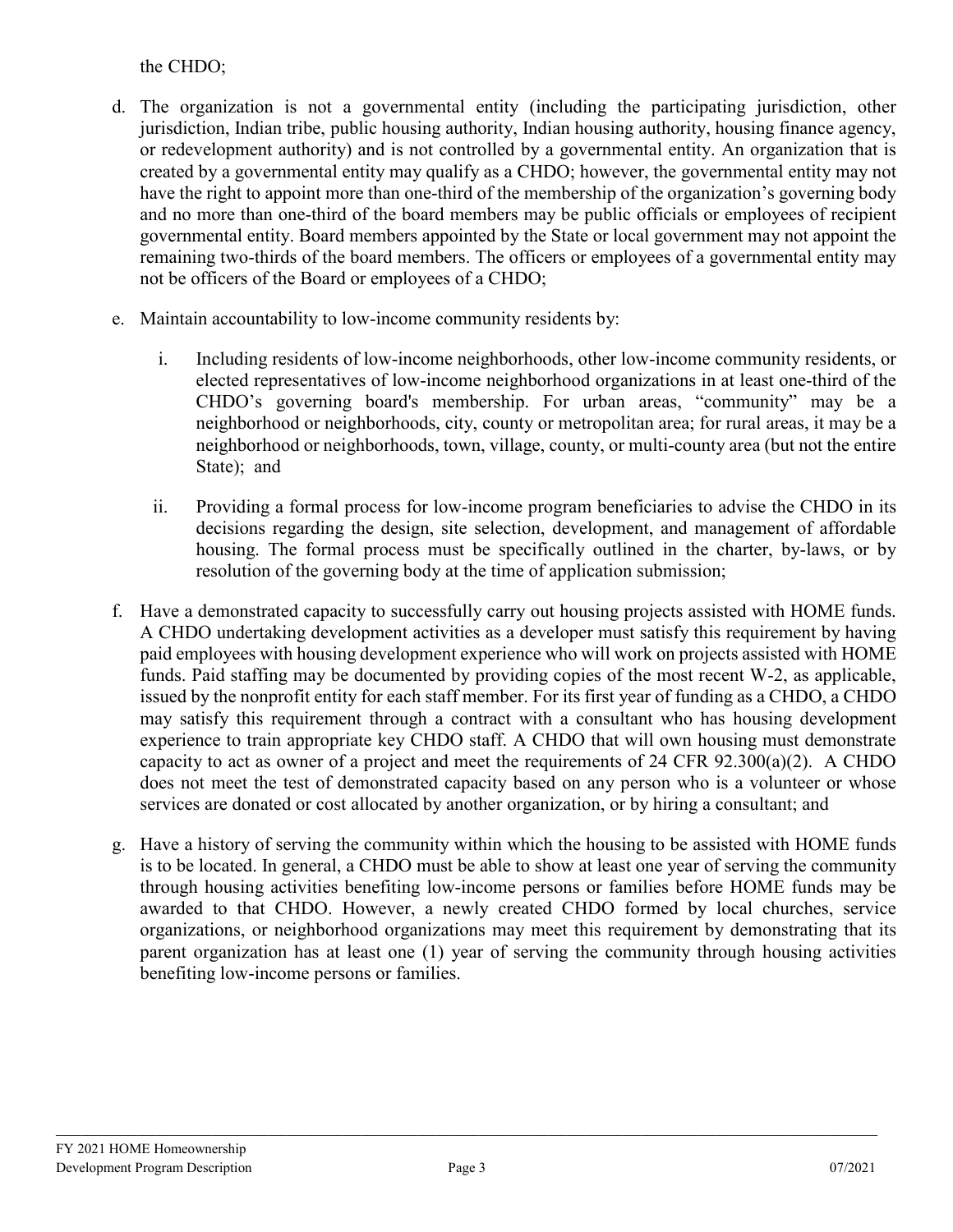# the CHDO;

- d. The organization is not a governmental entity (including the participating jurisdiction, other jurisdiction, Indian tribe, public housing authority, Indian housing authority, housing finance agency, or redevelopment authority) and is not controlled by a governmental entity. An organization that is created by a governmental entity may qualify as a CHDO; however, the governmental entity may not have the right to appoint more than one-third of the membership of the organization's governing body and no more than one-third of the board members may be public officials or employees of recipient governmental entity. Board members appointed by the State or local government may not appoint the remaining two-thirds of the board members. The officers or employees of a governmental entity may not be officers of the Board or employees of a CHDO;
- e. Maintain accountability to low-income community residents by:
	- i. Including residents of low-income neighborhoods, other low-income community residents, or elected representatives of low-income neighborhood organizations in at least one-third of the CHDO's governing board's membership. For urban areas, "community" may be a neighborhood or neighborhoods, city, county or metropolitan area; for rural areas, it may be a neighborhood or neighborhoods, town, village, county, or multi-county area (but not the entire State); and
	- ii. Providing a formal process for low-income program beneficiaries to advise the CHDO in its decisions regarding the design, site selection, development, and management of affordable housing. The formal process must be specifically outlined in the charter, by-laws, or by resolution of the governing body at the time of application submission;
- f. Have a demonstrated capacity to successfully carry out housing projects assisted with HOME funds. A CHDO undertaking development activities as a developer must satisfy this requirement by having paid employees with housing development experience who will work on projects assisted with HOME funds. Paid staffing may be documented by providing copies of the most recent W-2, as applicable, issued by the nonprofit entity for each staff member. For its first year of funding as a CHDO, a CHDO may satisfy this requirement through a contract with a consultant who has housing development experience to train appropriate key CHDO staff. A CHDO that will own housing must demonstrate capacity to act as owner of a project and meet the requirements of 24 CFR  $92.300(a)(2)$ . A CHDO does not meet the test of demonstrated capacity based on any person who is a volunteer or whose services are donated or cost allocated by another organization, or by hiring a consultant; and
- g. Have a history of serving the community within which the housing to be assisted with HOME funds is to be located. In general, a CHDO must be able to show at least one year of serving the community through housing activities benefiting low-income persons or families before HOME funds may be awarded to that CHDO. However, a newly created CHDO formed by local churches, service organizations, or neighborhood organizations may meet this requirement by demonstrating that its parent organization has at least one (1) year of serving the community through housing activities benefiting low-income persons or families.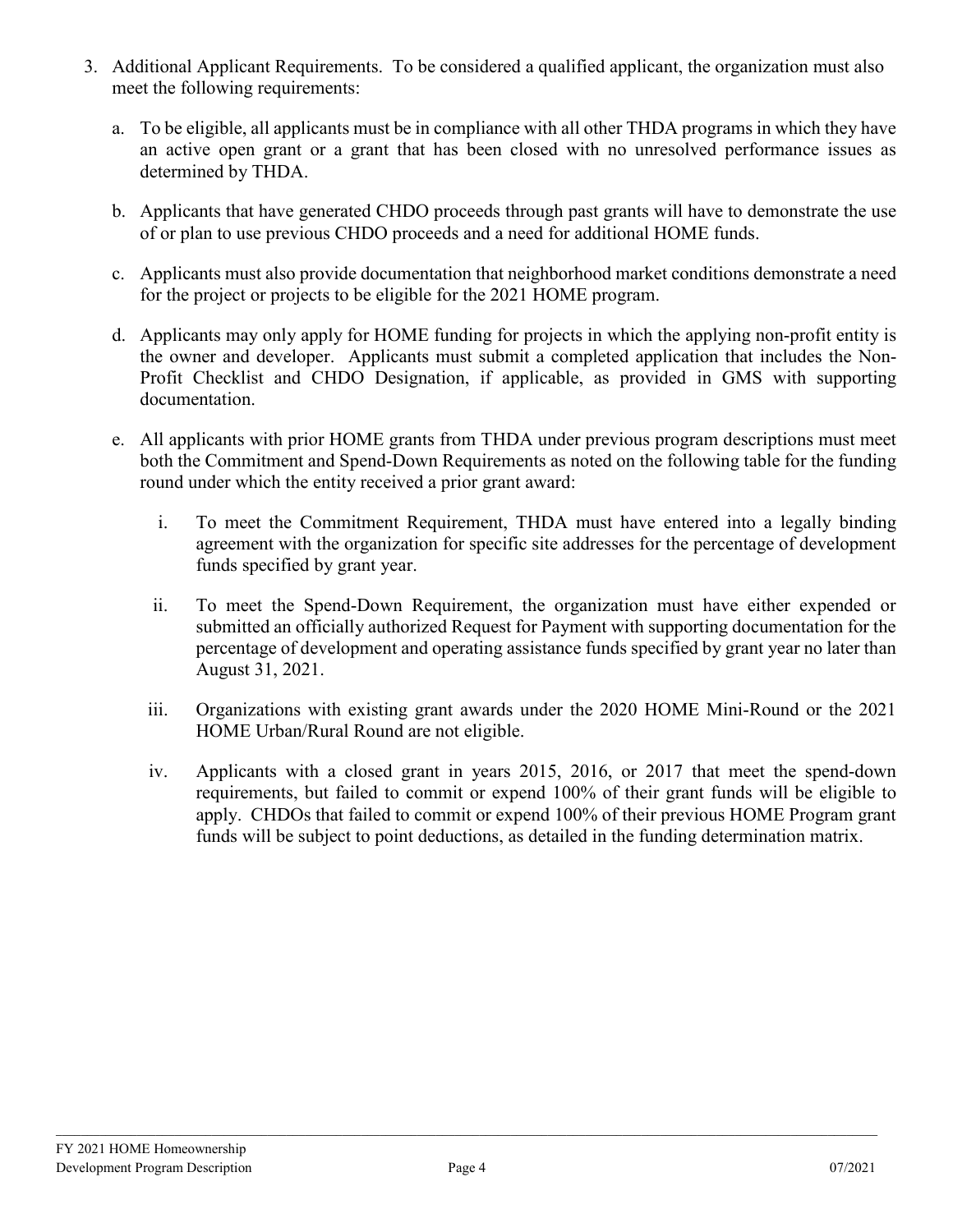- 3. Additional Applicant Requirements. To be considered a qualified applicant, the organization must also meet the following requirements:
	- a. To be eligible, all applicants must be in compliance with all other THDA programs in which they have an active open grant or a grant that has been closed with no unresolved performance issues as determined by THDA.
	- b. Applicants that have generated CHDO proceeds through past grants will have to demonstrate the use of or plan to use previous CHDO proceeds and a need for additional HOME funds.
	- c. Applicants must also provide documentation that neighborhood market conditions demonstrate a need for the project or projects to be eligible for the 2021 HOME program.
	- d. Applicants may only apply for HOME funding for projects in which the applying non-profit entity is the owner and developer. Applicants must submit a completed application that includes the Non-Profit Checklist and CHDO Designation, if applicable, as provided in GMS with supporting documentation.
	- e. All applicants with prior HOME grants from THDA under previous program descriptions must meet both the Commitment and Spend-Down Requirements as noted on the following table for the funding round under which the entity received a prior grant award:
		- i. To meet the Commitment Requirement, THDA must have entered into a legally binding agreement with the organization for specific site addresses for the percentage of development funds specified by grant year.
		- ii. To meet the Spend-Down Requirement, the organization must have either expended or submitted an officially authorized Request for Payment with supporting documentation for the percentage of development and operating assistance funds specified by grant year no later than August 31, 2021.
		- iii. Organizations with existing grant awards under the 2020 HOME Mini-Round or the 2021 HOME Urban/Rural Round are not eligible.
		- iv. Applicants with a closed grant in years 2015, 2016, or 2017 that meet the spend-down requirements, but failed to commit or expend 100% of their grant funds will be eligible to apply. CHDOs that failed to commit or expend 100% of their previous HOME Program grant funds will be subject to point deductions, as detailed in the funding determination matrix.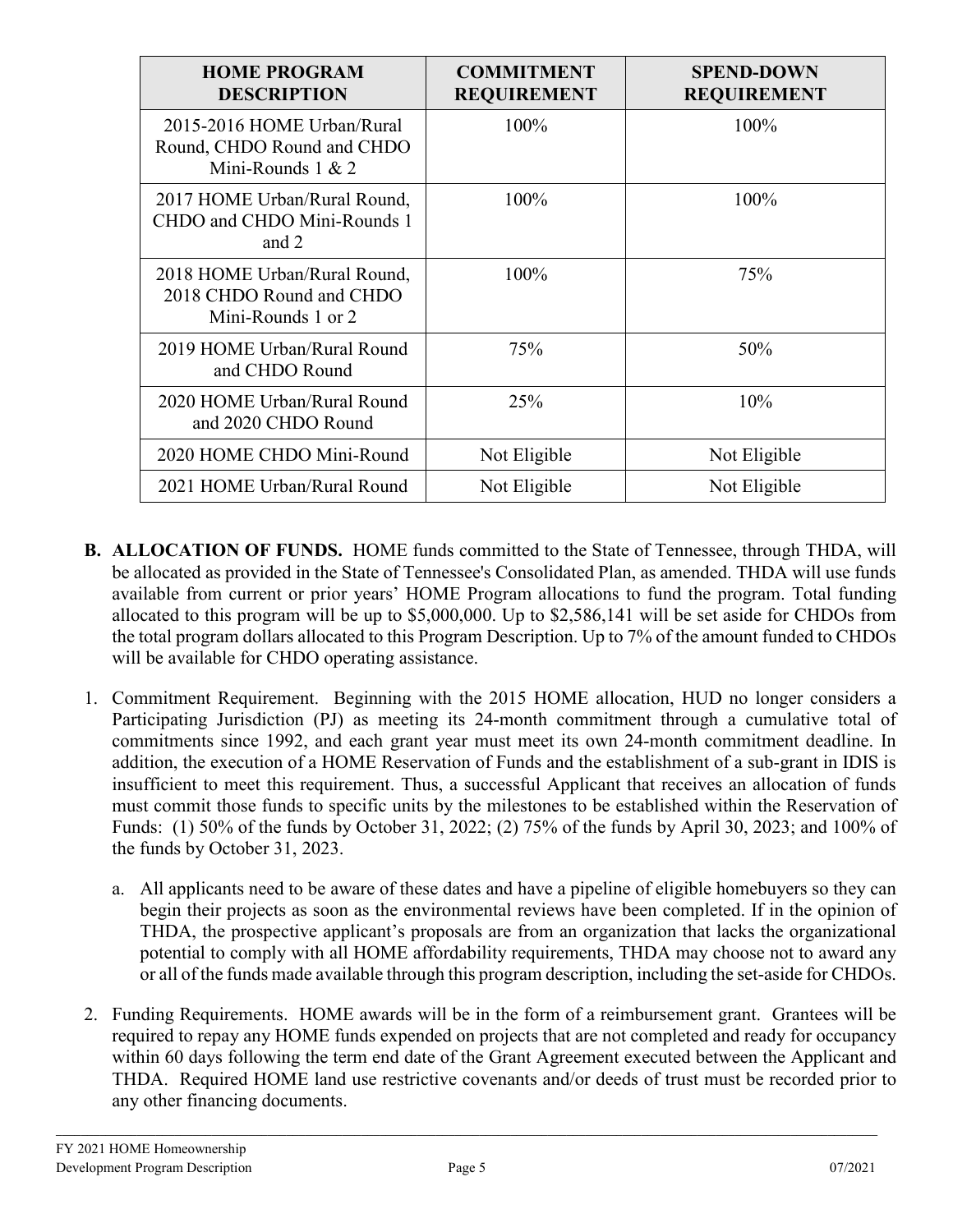| <b>HOME PROGRAM</b><br><b>DESCRIPTION</b>                                       | <b>COMMITMENT</b><br><b>REQUIREMENT</b> | <b>SPEND-DOWN</b><br><b>REQUIREMENT</b> |
|---------------------------------------------------------------------------------|-----------------------------------------|-----------------------------------------|
| 2015-2016 HOME Urban/Rural<br>Round, CHDO Round and CHDO<br>Mini-Rounds $1 & 2$ | 100%                                    | 100%                                    |
| 2017 HOME Urban/Rural Round,<br>CHDO and CHDO Mini-Rounds 1<br>and 2            | 100%                                    | 100%                                    |
| 2018 HOME Urban/Rural Round,<br>2018 CHDO Round and CHDO<br>Mini-Rounds 1 or 2  | 100%                                    | 75%                                     |
| 2019 HOME Urban/Rural Round<br>and CHDO Round                                   | 75%                                     | 50%                                     |
| 2020 HOME Urban/Rural Round<br>and 2020 CHDO Round                              | 25%                                     | 10%                                     |
| 2020 HOME CHDO Mini-Round                                                       | Not Eligible                            | Not Eligible                            |
| 2021 HOME Urban/Rural Round                                                     | Not Eligible                            | Not Eligible                            |

- **B. ALLOCATION OF FUNDS.** HOME funds committed to the State of Tennessee, through THDA, will be allocated as provided in the State of Tennessee's Consolidated Plan, as amended. THDA will use funds available from current or prior years' HOME Program allocations to fund the program. Total funding allocated to this program will be up to \$5,000,000. Up to \$2,586,141 will be set aside for CHDOs from the total program dollars allocated to this Program Description. Up to 7% of the amount funded to CHDOs will be available for CHDO operating assistance.
- 1. Commitment Requirement. Beginning with the 2015 HOME allocation, HUD no longer considers a Participating Jurisdiction (PJ) as meeting its 24-month commitment through a cumulative total of commitments since 1992, and each grant year must meet its own 24-month commitment deadline. In addition, the execution of a HOME Reservation of Funds and the establishment of a sub-grant in IDIS is insufficient to meet this requirement. Thus, a successful Applicant that receives an allocation of funds must commit those funds to specific units by the milestones to be established within the Reservation of Funds: (1) 50% of the funds by October 31, 2022; (2) 75% of the funds by April 30, 2023; and 100% of the funds by October 31, 2023.
	- a. All applicants need to be aware of these dates and have a pipeline of eligible homebuyers so they can begin their projects as soon as the environmental reviews have been completed. If in the opinion of THDA, the prospective applicant's proposals are from an organization that lacks the organizational potential to comply with all HOME affordability requirements, THDA may choose not to award any or all of the funds made available through this program description, including the set-aside for CHDOs.
- 2. Funding Requirements. HOME awards will be in the form of a reimbursement grant. Grantees will be required to repay any HOME funds expended on projects that are not completed and ready for occupancy within 60 days following the term end date of the Grant Agreement executed between the Applicant and THDA. Required HOME land use restrictive covenants and/or deeds of trust must be recorded prior to any other financing documents.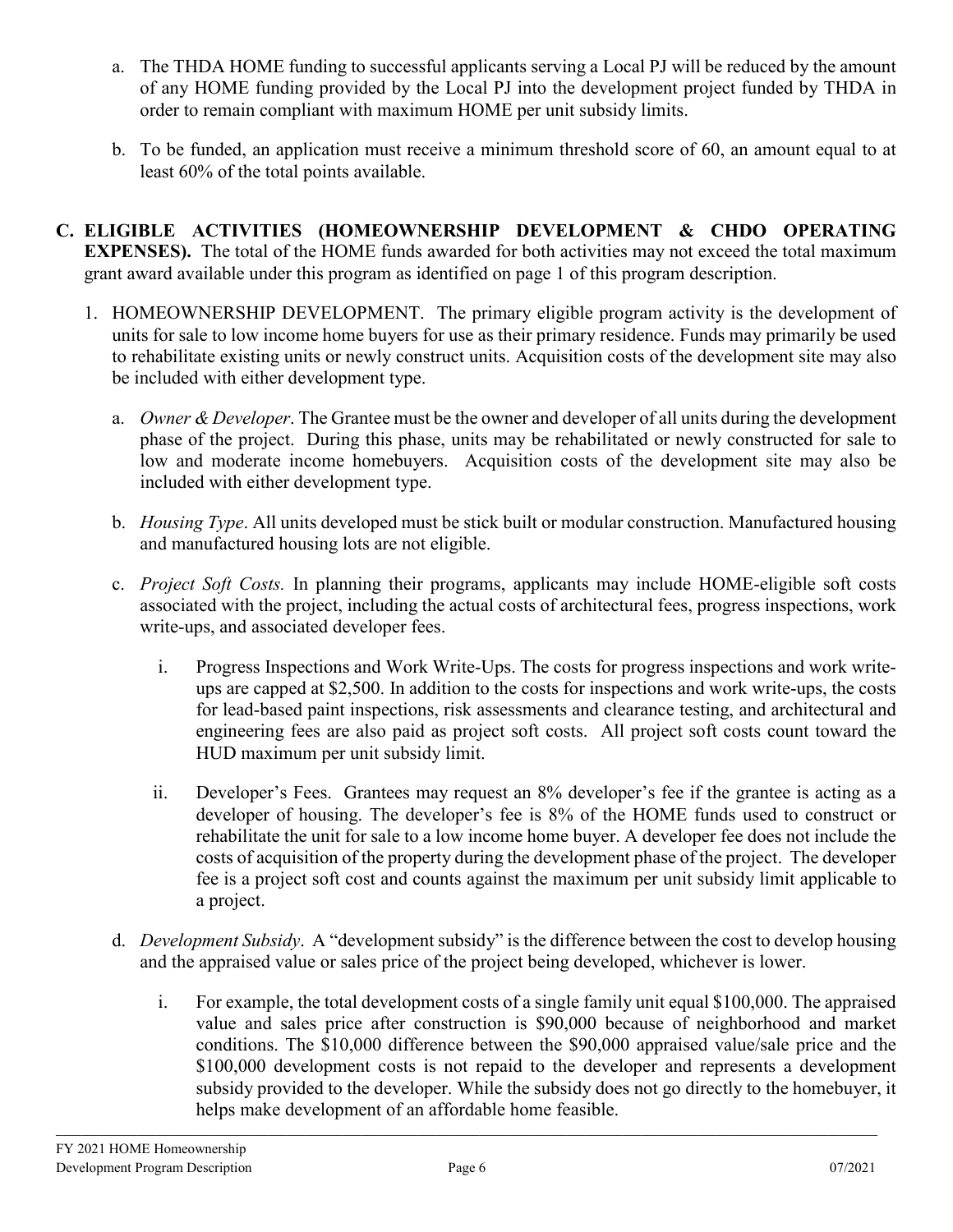- a. The THDA HOME funding to successful applicants serving a Local PJ will be reduced by the amount of any HOME funding provided by the Local PJ into the development project funded by THDA in order to remain compliant with maximum HOME per unit subsidy limits.
- b. To be funded, an application must receive a minimum threshold score of 60, an amount equal to at least 60% of the total points available.
- **C. ELIGIBLE ACTIVITIES (HOMEOWNERSHIP DEVELOPMENT & CHDO OPERATING EXPENSES).** The total of the HOME funds awarded for both activities may not exceed the total maximum grant award available under this program as identified on page 1 of this program description.
	- 1. HOMEOWNERSHIP DEVELOPMENT. The primary eligible program activity is the development of units for sale to low income home buyers for use as their primary residence. Funds may primarily be used to rehabilitate existing units or newly construct units. Acquisition costs of the development site may also be included with either development type.
		- a. *Owner & Developer*. The Grantee must be the owner and developer of all units during the development phase of the project. During this phase, units may be rehabilitated or newly constructed for sale to low and moderate income homebuyers. Acquisition costs of the development site may also be included with either development type.
		- b. *Housing Type*. All units developed must be stick built or modular construction. Manufactured housing and manufactured housing lots are not eligible.
		- c. *Project Soft Costs.* In planning their programs, applicants may include HOME-eligible soft costs associated with the project, including the actual costs of architectural fees, progress inspections, work write-ups, and associated developer fees.
			- i. Progress Inspections and Work Write-Ups. The costs for progress inspections and work writeups are capped at \$2,500. In addition to the costs for inspections and work write-ups, the costs for lead-based paint inspections, risk assessments and clearance testing, and architectural and engineering fees are also paid as project soft costs. All project soft costs count toward the HUD maximum per unit subsidy limit.
			- ii. Developer's Fees. Grantees may request an 8% developer's fee if the grantee is acting as a developer of housing. The developer's fee is 8% of the HOME funds used to construct or rehabilitate the unit for sale to a low income home buyer. A developer fee does not include the costs of acquisition of the property during the development phase of the project. The developer fee is a project soft cost and counts against the maximum per unit subsidy limit applicable to a project.
		- d. *Development Subsidy*. A "development subsidy" is the difference between the cost to develop housing and the appraised value or sales price of the project being developed, whichever is lower.
			- i. For example, the total development costs of a single family unit equal \$100,000. The appraised value and sales price after construction is \$90,000 because of neighborhood and market conditions. The \$10,000 difference between the \$90,000 appraised value/sale price and the \$100,000 development costs is not repaid to the developer and represents a development subsidy provided to the developer. While the subsidy does not go directly to the homebuyer, it helps make development of an affordable home feasible.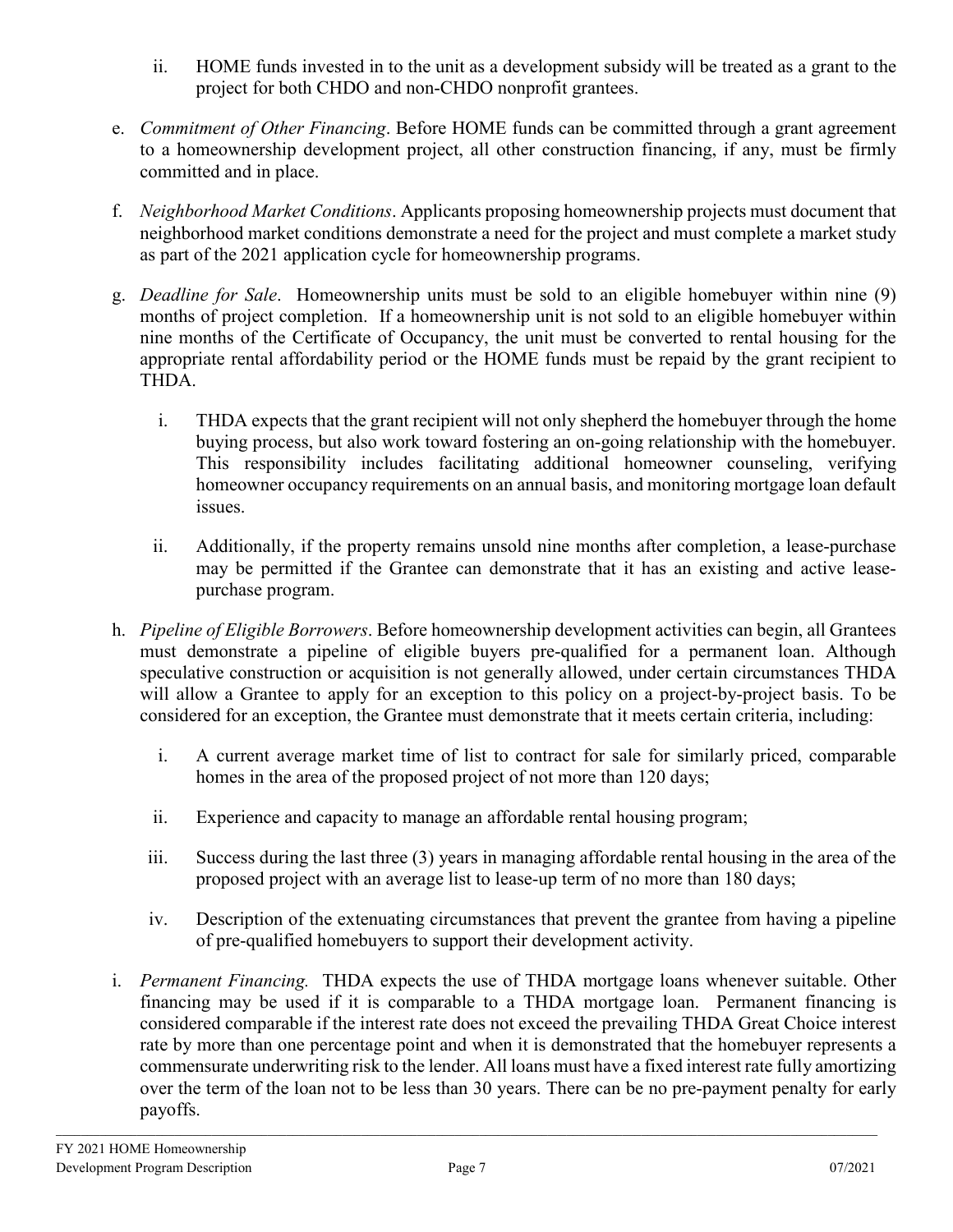- ii. HOME funds invested in to the unit as a development subsidy will be treated as a grant to the project for both CHDO and non-CHDO nonprofit grantees.
- e. *Commitment of Other Financing*. Before HOME funds can be committed through a grant agreement to a homeownership development project, all other construction financing, if any, must be firmly committed and in place.
- f. *Neighborhood Market Conditions*. Applicants proposing homeownership projects must document that neighborhood market conditions demonstrate a need for the project and must complete a market study as part of the 2021 application cycle for homeownership programs.
- g. *Deadline for Sale*. Homeownership units must be sold to an eligible homebuyer within nine (9) months of project completion. If a homeownership unit is not sold to an eligible homebuyer within nine months of the Certificate of Occupancy, the unit must be converted to rental housing for the appropriate rental affordability period or the HOME funds must be repaid by the grant recipient to THDA.
	- i. THDA expects that the grant recipient will not only shepherd the homebuyer through the home buying process, but also work toward fostering an on-going relationship with the homebuyer. This responsibility includes facilitating additional homeowner counseling, verifying homeowner occupancy requirements on an annual basis, and monitoring mortgage loan default issues.
	- ii. Additionally, if the property remains unsold nine months after completion, a lease-purchase may be permitted if the Grantee can demonstrate that it has an existing and active leasepurchase program.
- h. *Pipeline of Eligible Borrowers*. Before homeownership development activities can begin, all Grantees must demonstrate a pipeline of eligible buyers pre-qualified for a permanent loan. Although speculative construction or acquisition is not generally allowed, under certain circumstances THDA will allow a Grantee to apply for an exception to this policy on a project-by-project basis. To be considered for an exception, the Grantee must demonstrate that it meets certain criteria, including:
	- i. A current average market time of list to contract for sale for similarly priced, comparable homes in the area of the proposed project of not more than 120 days;
	- ii. Experience and capacity to manage an affordable rental housing program;
	- iii. Success during the last three (3) years in managing affordable rental housing in the area of the proposed project with an average list to lease-up term of no more than 180 days;
	- iv. Description of the extenuating circumstances that prevent the grantee from having a pipeline of pre-qualified homebuyers to support their development activity.
- i. *Permanent Financing.* THDA expects the use of THDA mortgage loans whenever suitable. Other financing may be used if it is comparable to a THDA mortgage loan. Permanent financing is considered comparable if the interest rate does not exceed the prevailing THDA Great Choice interest rate by more than one percentage point and when it is demonstrated that the homebuyer represents a commensurate underwriting risk to the lender. All loans must have a fixed interest rate fully amortizing over the term of the loan not to be less than 30 years. There can be no pre-payment penalty for early payoffs.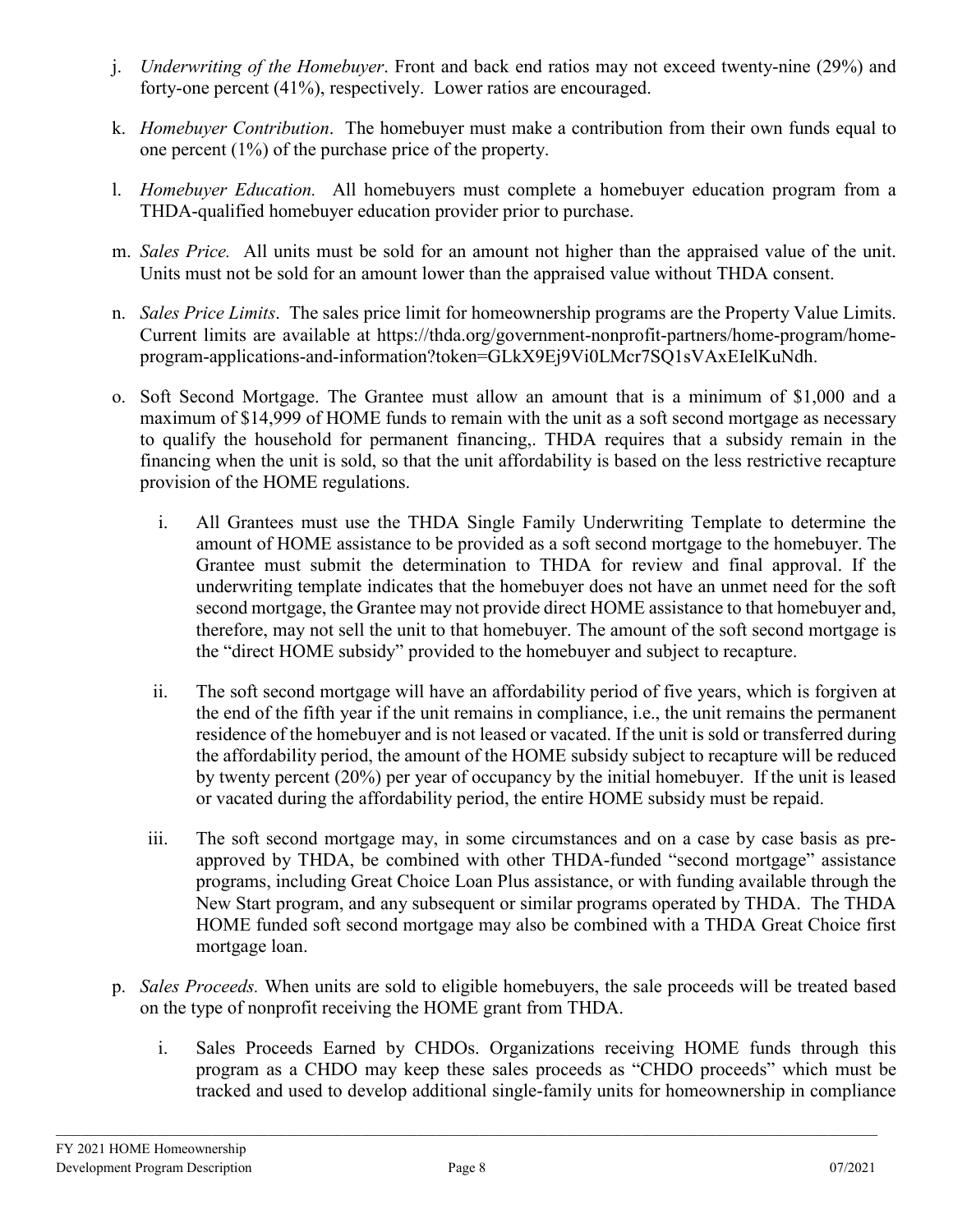- j. *Underwriting of the Homebuyer*. Front and back end ratios may not exceed twenty-nine (29%) and forty-one percent (41%), respectively. Lower ratios are encouraged.
- k. *Homebuyer Contribution*. The homebuyer must make a contribution from their own funds equal to one percent (1%) of the purchase price of the property.
- l. *Homebuyer Education.* All homebuyers must complete a homebuyer education program from a THDA-qualified homebuyer education provider prior to purchase.
- m. *Sales Price.* All units must be sold for an amount not higher than the appraised value of the unit. Units must not be sold for an amount lower than the appraised value without THDA consent.
- n. *Sales Price Limits*. The sales price limit for homeownership programs are the Property Value Limits. Current limits are available at [https://thda.org/government-nonprofit-partners/home-program/home](https://thda.org/government-nonprofit-partners/home-program/home-program-applications-and-information?token=GLkX9Ej9Vi0LMcr7SQ1sVAxEIelKuNdh)[program-applications-and-information?token=GLkX9Ej9Vi0LMcr7SQ1sVAxEIelKuNdh.](https://thda.org/government-nonprofit-partners/home-program/home-program-applications-and-information?token=GLkX9Ej9Vi0LMcr7SQ1sVAxEIelKuNdh)
- o. Soft Second Mortgage. The Grantee must allow an amount that is a minimum of \$1,000 and a maximum of \$14,999 of HOME funds to remain with the unit as a soft second mortgage as necessary to qualify the household for permanent financing,. THDA requires that a subsidy remain in the financing when the unit is sold, so that the unit affordability is based on the less restrictive recapture provision of the HOME regulations.
	- i. All Grantees must use the THDA Single Family Underwriting Template to determine the amount of HOME assistance to be provided as a soft second mortgage to the homebuyer. The Grantee must submit the determination to THDA for review and final approval. If the underwriting template indicates that the homebuyer does not have an unmet need for the soft second mortgage, the Grantee may not provide direct HOME assistance to that homebuyer and, therefore, may not sell the unit to that homebuyer. The amount of the soft second mortgage is the "direct HOME subsidy" provided to the homebuyer and subject to recapture.
	- ii. The soft second mortgage will have an affordability period of five years, which is forgiven at the end of the fifth year if the unit remains in compliance, i.e., the unit remains the permanent residence of the homebuyer and is not leased or vacated. If the unit is sold or transferred during the affordability period, the amount of the HOME subsidy subject to recapture will be reduced by twenty percent (20%) per year of occupancy by the initial homebuyer. If the unit is leased or vacated during the affordability period, the entire HOME subsidy must be repaid.
	- iii. The soft second mortgage may, in some circumstances and on a case by case basis as preapproved by THDA, be combined with other THDA-funded "second mortgage" assistance programs, including Great Choice Loan Plus assistance, or with funding available through the New Start program, and any subsequent or similar programs operated by THDA. The THDA HOME funded soft second mortgage may also be combined with a THDA Great Choice first mortgage loan.
- p. *Sales Proceeds.* When units are sold to eligible homebuyers, the sale proceeds will be treated based on the type of nonprofit receiving the HOME grant from THDA.
	- i. Sales Proceeds Earned by CHDOs. Organizations receiving HOME funds through this program as a CHDO may keep these sales proceeds as "CHDO proceeds" which must be tracked and used to develop additional single-family units for homeownership in compliance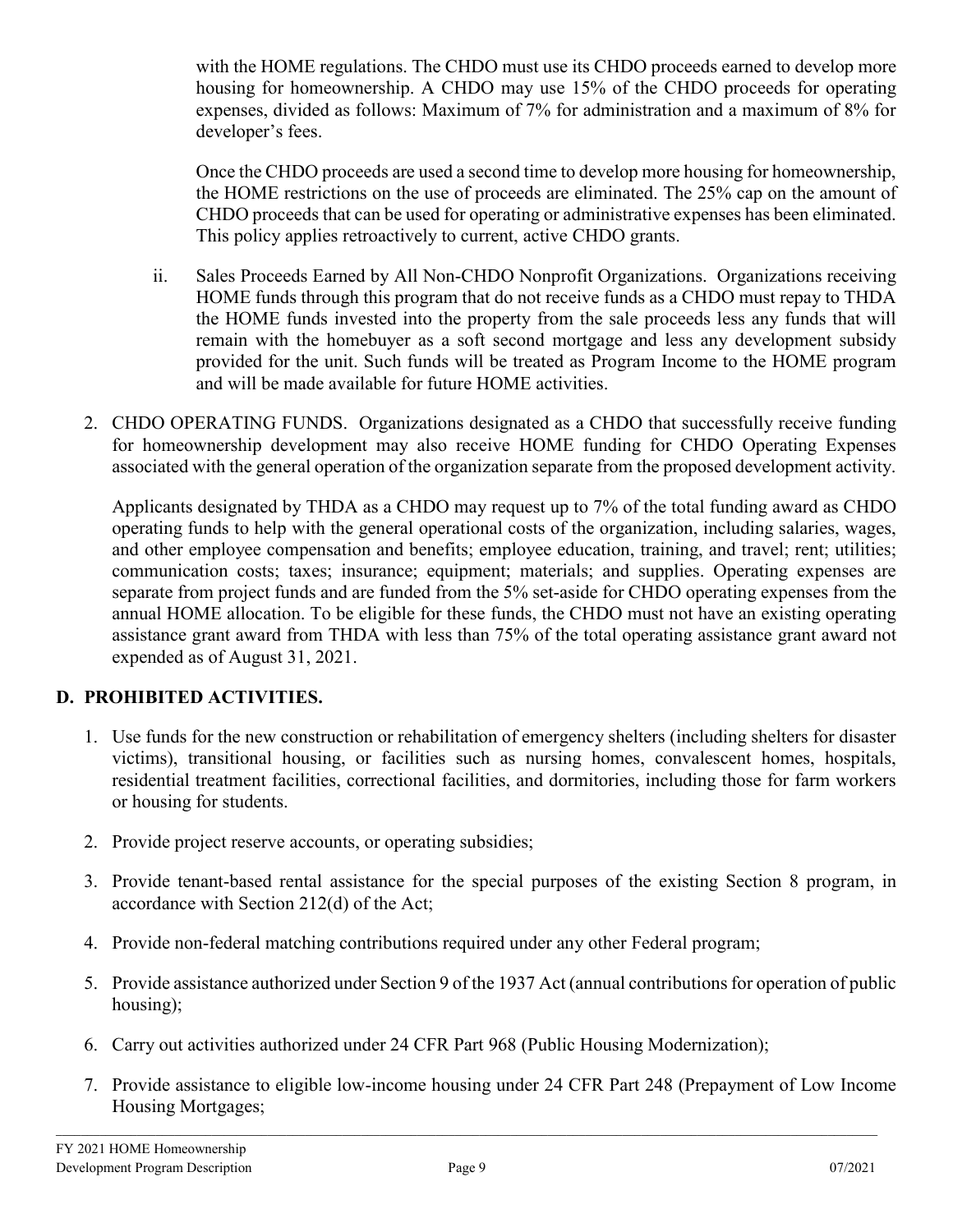with the HOME regulations. The CHDO must use its CHDO proceeds earned to develop more housing for homeownership. A CHDO may use 15% of the CHDO proceeds for operating expenses, divided as follows: Maximum of 7% for administration and a maximum of 8% for developer's fees.

Once the CHDO proceeds are used a second time to develop more housing for homeownership, the HOME restrictions on the use of proceeds are eliminated. The 25% cap on the amount of CHDO proceeds that can be used for operating or administrative expenses has been eliminated. This policy applies retroactively to current, active CHDO grants.

- ii. Sales Proceeds Earned by All Non-CHDO Nonprofit Organizations. Organizations receiving HOME funds through this program that do not receive funds as a CHDO must repay to THDA the HOME funds invested into the property from the sale proceeds less any funds that will remain with the homebuyer as a soft second mortgage and less any development subsidy provided for the unit. Such funds will be treated as Program Income to the HOME program and will be made available for future HOME activities.
- 2. CHDO OPERATING FUNDS. Organizations designated as a CHDO that successfully receive funding for homeownership development may also receive HOME funding for CHDO Operating Expenses associated with the general operation of the organization separate from the proposed development activity.

Applicants designated by THDA as a CHDO may request up to 7% of the total funding award as CHDO operating funds to help with the general operational costs of the organization, including salaries, wages, and other employee compensation and benefits; employee education, training, and travel; rent; utilities; communication costs; taxes; insurance; equipment; materials; and supplies. Operating expenses are separate from project funds and are funded from the 5% set-aside for CHDO operating expenses from the annual HOME allocation. To be eligible for these funds, the CHDO must not have an existing operating assistance grant award from THDA with less than 75% of the total operating assistance grant award not expended as of August 31, 2021.

# **D. PROHIBITED ACTIVITIES.**

- 1. Use funds for the new construction or rehabilitation of emergency shelters (including shelters for disaster victims), transitional housing, or facilities such as nursing homes, convalescent homes, hospitals, residential treatment facilities, correctional facilities, and dormitories, including those for farm workers or housing for students.
- 2. Provide project reserve accounts, or operating subsidies;
- 3. Provide tenant-based rental assistance for the special purposes of the existing Section 8 program, in accordance with Section 212(d) of the Act;
- 4. Provide non-federal matching contributions required under any other Federal program;
- 5. Provide assistance authorized under Section 9 of the 1937 Act (annual contributions for operation of public housing);
- 6. Carry out activities authorized under 24 CFR Part 968 (Public Housing Modernization);
- 7. Provide assistance to eligible low-income housing under 24 CFR Part 248 (Prepayment of Low Income Housing Mortgages;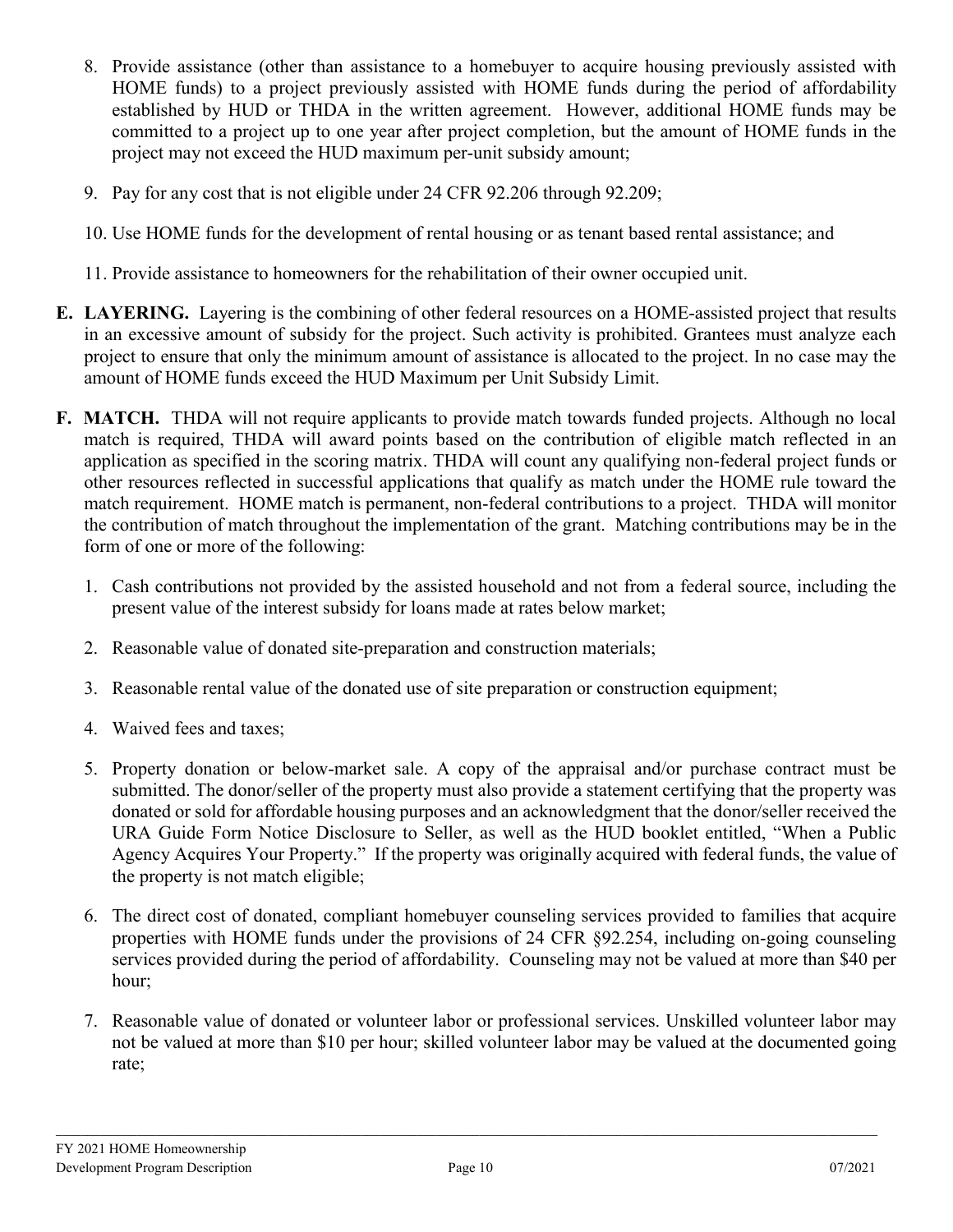- 8. Provide assistance (other than assistance to a homebuyer to acquire housing previously assisted with HOME funds) to a project previously assisted with HOME funds during the period of affordability established by HUD or THDA in the written agreement. However, additional HOME funds may be committed to a project up to one year after project completion, but the amount of HOME funds in the project may not exceed the HUD maximum per-unit subsidy amount;
- 9. Pay for any cost that is not eligible under 24 CFR 92.206 through 92.209;
- 10. Use HOME funds for the development of rental housing or as tenant based rental assistance; and
- 11. Provide assistance to homeowners for the rehabilitation of their owner occupied unit.
- **E. LAYERING.** Layering is the combining of other federal resources on a HOME-assisted project that results in an excessive amount of subsidy for the project. Such activity is prohibited. Grantees must analyze each project to ensure that only the minimum amount of assistance is allocated to the project. In no case may the amount of HOME funds exceed the HUD Maximum per Unit Subsidy Limit.
- **F. MATCH.** THDA will not require applicants to provide match towards funded projects. Although no local match is required, THDA will award points based on the contribution of eligible match reflected in an application as specified in the scoring matrix. THDA will count any qualifying non-federal project funds or other resources reflected in successful applications that qualify as match under the HOME rule toward the match requirement. HOME match is permanent, non-federal contributions to a project. THDA will monitor the contribution of match throughout the implementation of the grant.Matching contributions may be in the form of one or more of the following:
	- 1. Cash contributions not provided by the assisted household and not from a federal source, including the present value of the interest subsidy for loans made at rates below market;
	- 2. Reasonable value of donated site-preparation and construction materials;
	- 3. Reasonable rental value of the donated use of site preparation or construction equipment;
	- 4. Waived fees and taxes;
	- 5. Property donation or below-market sale. A copy of the appraisal and/or purchase contract must be submitted. The donor/seller of the property must also provide a statement certifying that the property was donated or sold for affordable housing purposes and an acknowledgment that the donor/seller received the URA Guide Form Notice Disclosure to Seller, as well as the HUD booklet entitled, "When a Public Agency Acquires Your Property." If the property was originally acquired with federal funds, the value of the property is not match eligible;
	- 6. The direct cost of donated, compliant homebuyer counseling services provided to families that acquire properties with HOME funds under the provisions of 24 CFR §92.254, including on-going counseling services provided during the period of affordability. Counseling may not be valued at more than \$40 per hour;
	- 7. Reasonable value of donated or volunteer labor or professional services. Unskilled volunteer labor may not be valued at more than \$10 per hour; skilled volunteer labor may be valued at the documented going rate;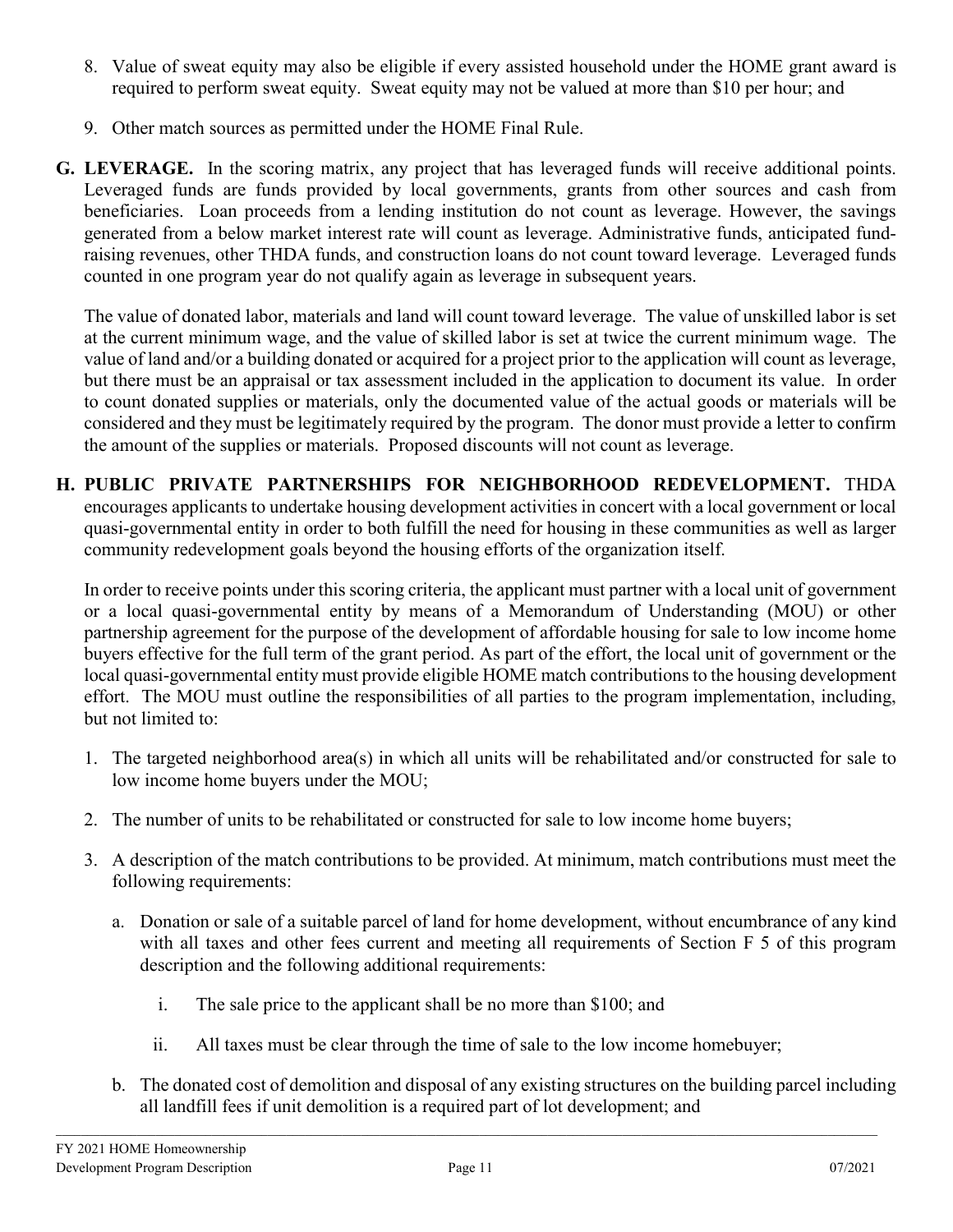- 8. Value of sweat equity may also be eligible if every assisted household under the HOME grant award is required to perform sweat equity. Sweat equity may not be valued at more than \$10 per hour; and
- 9. Other match sources as permitted under the HOME Final Rule.
- **G. LEVERAGE.** In the scoring matrix, any project that has leveraged funds will receive additional points. Leveraged funds are funds provided by local governments, grants from other sources and cash from beneficiaries. Loan proceeds from a lending institution do not count as leverage. However, the savings generated from a below market interest rate will count as leverage. Administrative funds, anticipated fundraising revenues, other THDA funds, and construction loans do not count toward leverage. Leveraged funds counted in one program year do not qualify again as leverage in subsequent years.

The value of donated labor, materials and land will count toward leverage. The value of unskilled labor is set at the current minimum wage, and the value of skilled labor is set at twice the current minimum wage. The value of land and/or a building donated or acquired for a project prior to the application will count as leverage, but there must be an appraisal or tax assessment included in the application to document its value. In order to count donated supplies or materials, only the documented value of the actual goods or materials will be considered and they must be legitimately required by the program. The donor must provide a letter to confirm the amount of the supplies or materials. Proposed discounts will not count as leverage.

**H. PUBLIC PRIVATE PARTNERSHIPS FOR NEIGHBORHOOD REDEVELOPMENT.** THDA encourages applicants to undertake housing development activities in concert with a local government or local quasi-governmental entity in order to both fulfill the need for housing in these communities as well as larger community redevelopment goals beyond the housing efforts of the organization itself.

In order to receive points under this scoring criteria, the applicant must partner with a local unit of government or a local quasi-governmental entity by means of a Memorandum of Understanding (MOU) or other partnership agreement for the purpose of the development of affordable housing for sale to low income home buyers effective for the full term of the grant period. As part of the effort, the local unit of government or the local quasi-governmental entity must provide eligible HOME match contributions to the housing development effort. The MOU must outline the responsibilities of all parties to the program implementation, including, but not limited to:

- 1. The targeted neighborhood area(s) in which all units will be rehabilitated and/or constructed for sale to low income home buyers under the MOU;
- 2. The number of units to be rehabilitated or constructed for sale to low income home buyers;
- 3. A description of the match contributions to be provided. At minimum, match contributions must meet the following requirements:
	- a. Donation or sale of a suitable parcel of land for home development, without encumbrance of any kind with all taxes and other fees current and meeting all requirements of Section F 5 of this program description and the following additional requirements:
		- i. The sale price to the applicant shall be no more than \$100; and
		- ii. All taxes must be clear through the time of sale to the low income homebuyer;
	- b. The donated cost of demolition and disposal of any existing structures on the building parcel including all landfill fees if unit demolition is a required part of lot development; and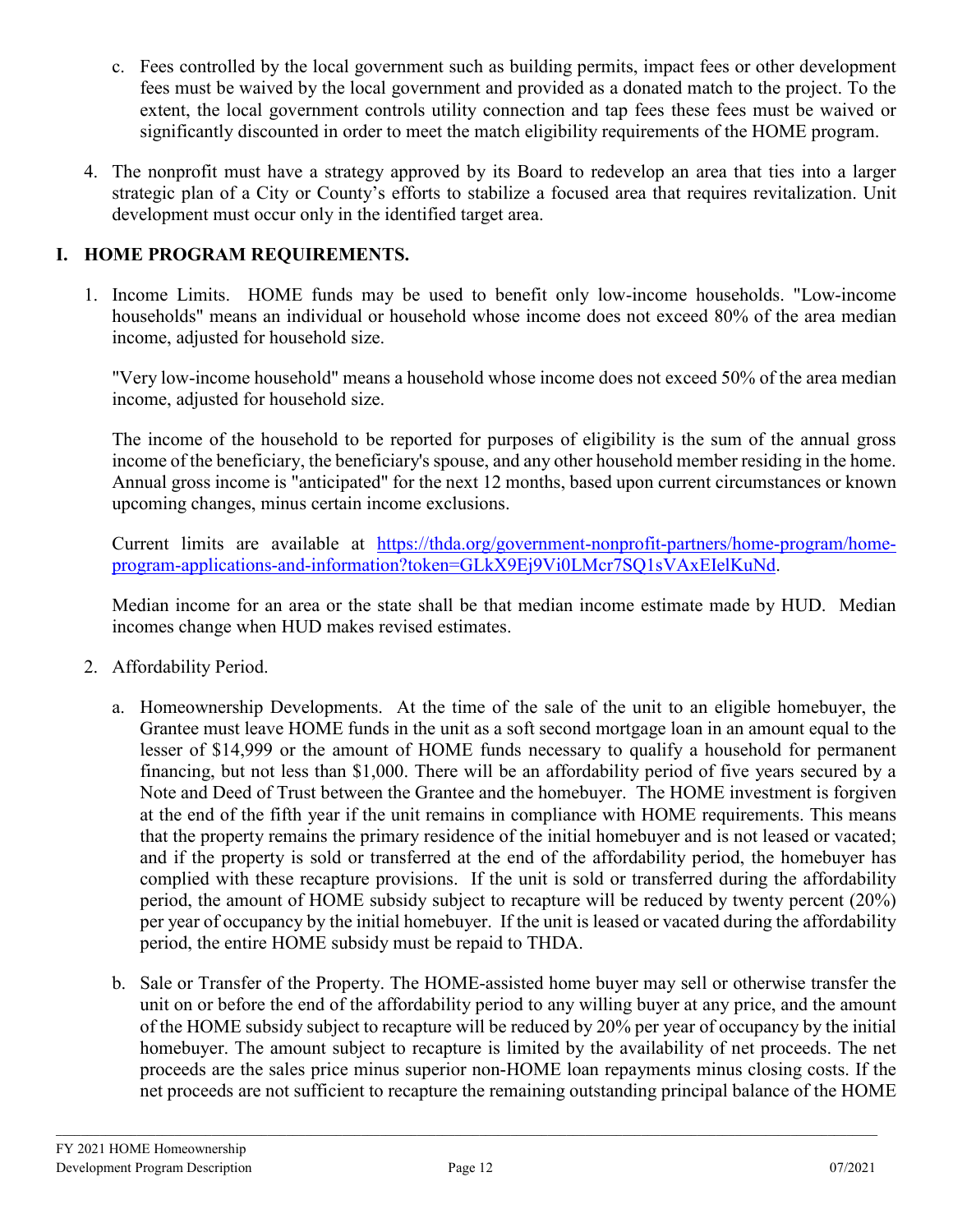- c. Fees controlled by the local government such as building permits, impact fees or other development fees must be waived by the local government and provided as a donated match to the project. To the extent, the local government controls utility connection and tap fees these fees must be waived or significantly discounted in order to meet the match eligibility requirements of the HOME program.
- 4. The nonprofit must have a strategy approved by its Board to redevelop an area that ties into a larger strategic plan of a City or County's efforts to stabilize a focused area that requires revitalization. Unit development must occur only in the identified target area.

# **I. HOME PROGRAM REQUIREMENTS.**

1. Income Limits. HOME funds may be used to benefit only low-income households. "Low-income households" means an individual or household whose income does not exceed 80% of the area median income, adjusted for household size.

"Very low-income household" means a household whose income does not exceed 50% of the area median income, adjusted for household size.

The income of the household to be reported for purposes of eligibility is the sum of the annual gross income of the beneficiary, the beneficiary's spouse, and any other household member residing in the home. Annual gross income is "anticipated" for the next 12 months, based upon current circumstances or known upcoming changes, minus certain income exclusions.

Current limits are available at [https://thda.org/government-nonprofit-partners/home-program/home](https://thda.org/government-nonprofit-partners/home-program/home-program-applications-and-information?token=GLkX9Ej9Vi0LMcr7SQ1sVAxEIelKuNd)[program-applications-and-information?token=GLkX9Ej9Vi0LMcr7SQ1sVAxEIelKuNd.](https://thda.org/government-nonprofit-partners/home-program/home-program-applications-and-information?token=GLkX9Ej9Vi0LMcr7SQ1sVAxEIelKuNd)

Median income for an area or the state shall be that median income estimate made by HUD. Median incomes change when HUD makes revised estimates.

- 2. Affordability Period.
	- a. Homeownership Developments. At the time of the sale of the unit to an eligible homebuyer, the Grantee must leave HOME funds in the unit as a soft second mortgage loan in an amount equal to the lesser of \$14,999 or the amount of HOME funds necessary to qualify a household for permanent financing, but not less than \$1,000. There will be an affordability period of five years secured by a Note and Deed of Trust between the Grantee and the homebuyer. The HOME investment is forgiven at the end of the fifth year if the unit remains in compliance with HOME requirements. This means that the property remains the primary residence of the initial homebuyer and is not leased or vacated; and if the property is sold or transferred at the end of the affordability period, the homebuyer has complied with these recapture provisions. If the unit is sold or transferred during the affordability period, the amount of HOME subsidy subject to recapture will be reduced by twenty percent (20%) per year of occupancy by the initial homebuyer. If the unit is leased or vacated during the affordability period, the entire HOME subsidy must be repaid to THDA.
	- b. Sale or Transfer of the Property. The HOME-assisted home buyer may sell or otherwise transfer the unit on or before the end of the affordability period to any willing buyer at any price, and the amount of the HOME subsidy subject to recapture will be reduced by 20% per year of occupancy by the initial homebuyer. The amount subject to recapture is limited by the availability of net proceeds. The net proceeds are the sales price minus superior non-HOME loan repayments minus closing costs. If the net proceeds are not sufficient to recapture the remaining outstanding principal balance of the HOME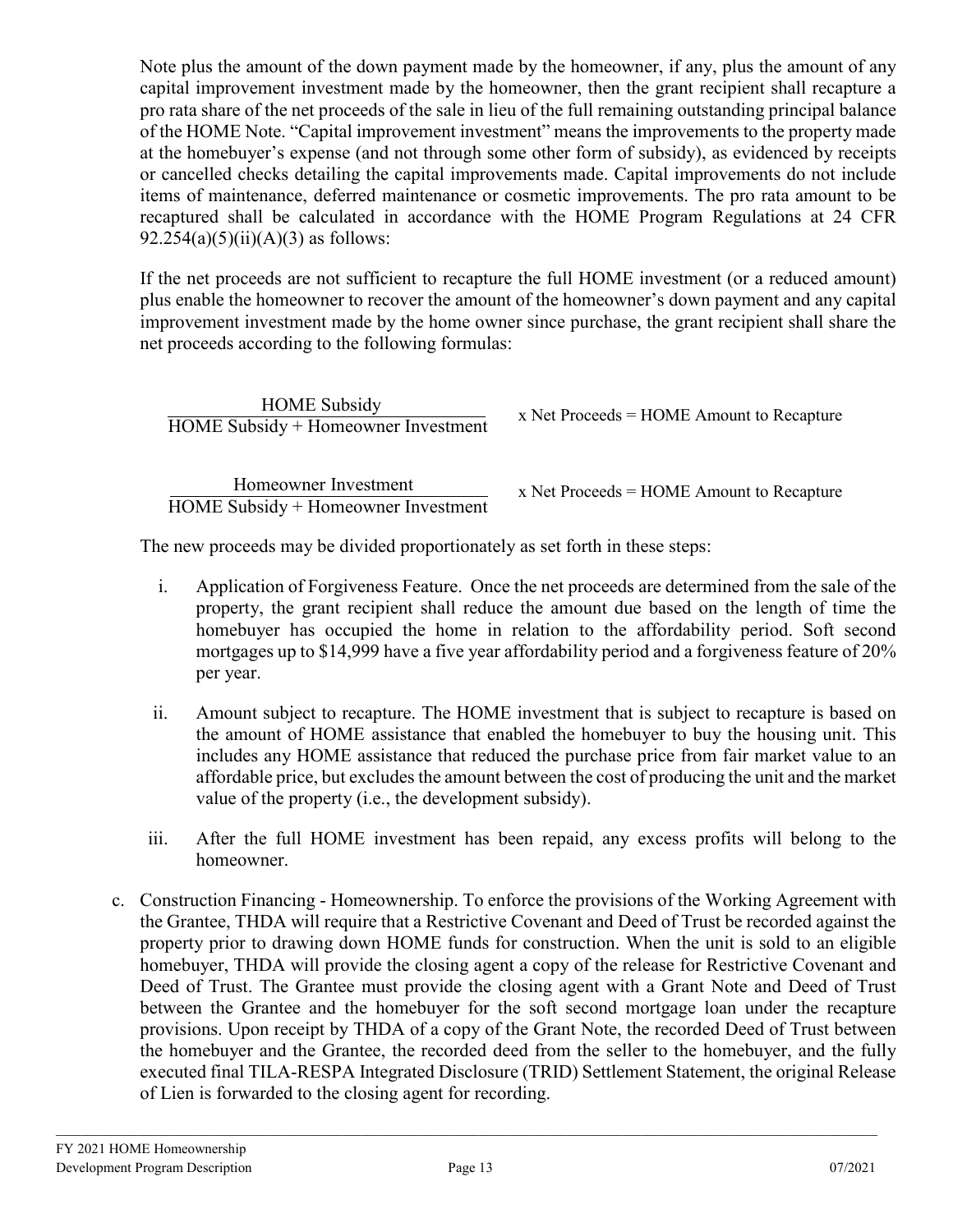Note plus the amount of the down payment made by the homeowner, if any, plus the amount of any capital improvement investment made by the homeowner, then the grant recipient shall recapture a pro rata share of the net proceeds of the sale in lieu of the full remaining outstanding principal balance of the HOME Note. "Capital improvement investment" means the improvements to the property made at the homebuyer's expense (and not through some other form of subsidy), as evidenced by receipts or cancelled checks detailing the capital improvements made. Capital improvements do not include items of maintenance, deferred maintenance or cosmetic improvements. The pro rata amount to be recaptured shall be calculated in accordance with the HOME Program Regulations at 24 CFR  $92.254(a)(5)(ii)(A)(3)$  as follows:

If the net proceeds are not sufficient to recapture the full HOME investment (or a reduced amount) plus enable the homeowner to recover the amount of the homeowner's down payment and any capital improvement investment made by the home owner since purchase, the grant recipient shall share the net proceeds according to the following formulas:

 HOME Subsidy HOME Subsidy + Homeowner Investment

 Homeowner Investment HOME Subsidy + Homeowner Investment x Net Proceeds = HOME Amount to Recapture

x Net Proceeds = HOME Amount to Recapture

The new proceeds may be divided proportionately as set forth in these steps:

- i. Application of Forgiveness Feature. Once the net proceeds are determined from the sale of the property, the grant recipient shall reduce the amount due based on the length of time the homebuyer has occupied the home in relation to the affordability period. Soft second mortgages up to \$14,999 have a five year affordability period and a forgiveness feature of 20% per year.
- ii. Amount subject to recapture. The HOME investment that is subject to recapture is based on the amount of HOME assistance that enabled the homebuyer to buy the housing unit. This includes any HOME assistance that reduced the purchase price from fair market value to an affordable price, but excludes the amount between the cost of producing the unit and the market value of the property (i.e., the development subsidy).
- iii. After the full HOME investment has been repaid, any excess profits will belong to the homeowner.
- c. Construction Financing Homeownership. To enforce the provisions of the Working Agreement with the Grantee, THDA will require that a Restrictive Covenant and Deed of Trust be recorded against the property prior to drawing down HOME funds for construction. When the unit is sold to an eligible homebuyer, THDA will provide the closing agent a copy of the release for Restrictive Covenant and Deed of Trust. The Grantee must provide the closing agent with a Grant Note and Deed of Trust between the Grantee and the homebuyer for the soft second mortgage loan under the recapture provisions. Upon receipt by THDA of a copy of the Grant Note, the recorded Deed of Trust between the homebuyer and the Grantee, the recorded deed from the seller to the homebuyer, and the fully executed final TILA-RESPA Integrated Disclosure (TRID) Settlement Statement, the original Release of Lien is forwarded to the closing agent for recording.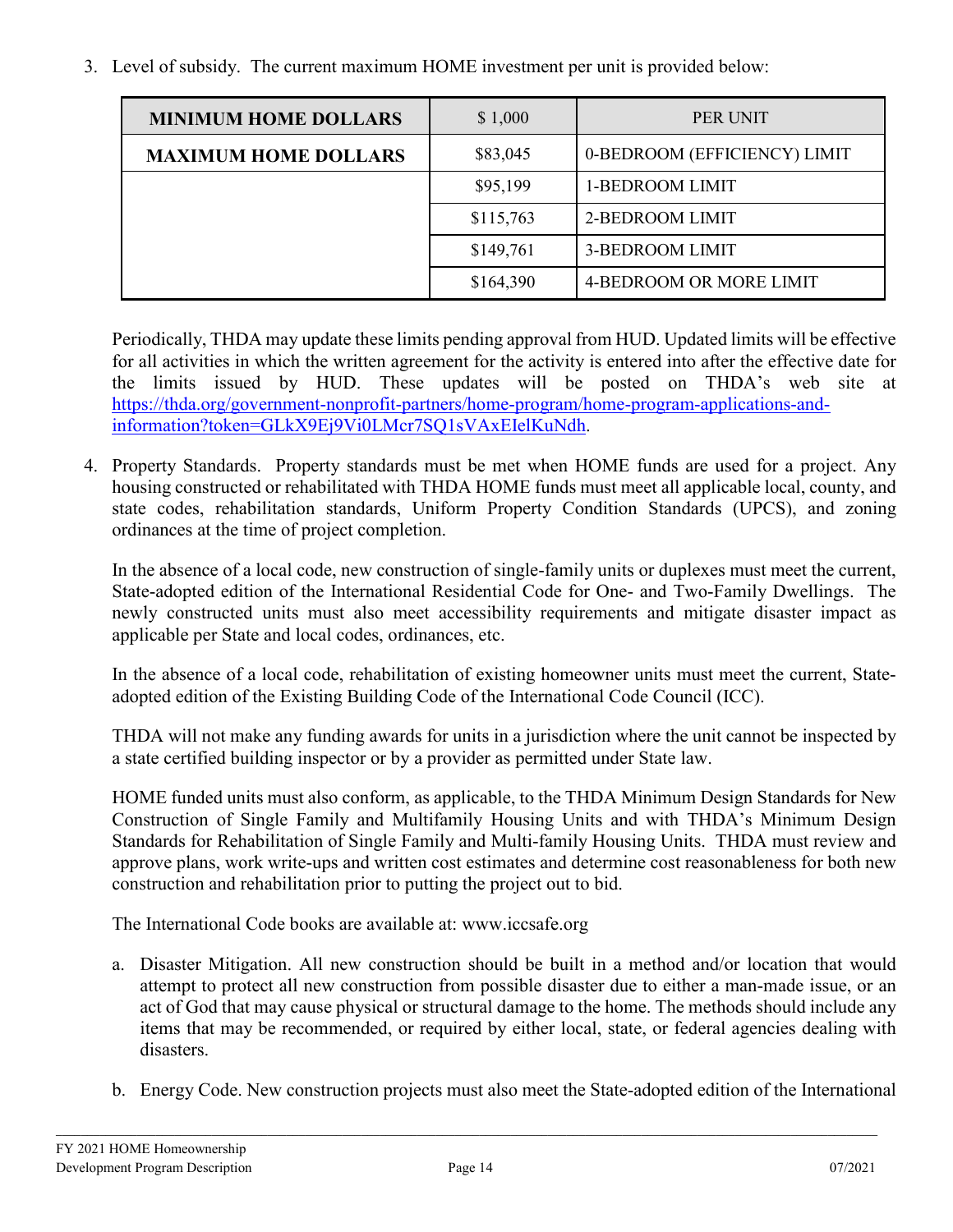3. Level of subsidy. The current maximum HOME investment per unit is provided below:

| <b>MINIMUM HOME DOLLARS</b> | \$1,000   | PER UNIT                     |
|-----------------------------|-----------|------------------------------|
| <b>MAXIMUM HOME DOLLARS</b> | \$83,045  | 0-BEDROOM (EFFICIENCY) LIMIT |
|                             | \$95,199  | 1-BEDROOM LIMIT              |
|                             | \$115,763 | 2-BEDROOM LIMIT              |
|                             | \$149,761 | 3-BEDROOM LIMIT              |
|                             | \$164,390 | 4-BEDROOM OR MORE LIMIT      |

Periodically, THDA may update these limits pending approval from HUD. Updated limits will be effective for all activities in which the written agreement for the activity is entered into after the effective date for the limits issued by HUD. These updates will be posted on THDA's web site [at](http://www.thda.org/) [https://thda.org/government-nonprofit-partners/home-program/home-program-applications-and](https://thda.org/government-nonprofit-partners/home-program/home-program-applications-and-information?token=GLkX9Ej9Vi0LMcr7SQ1sVAxEIelKuNdh)[information?token=GLkX9Ej9Vi0LMcr7SQ1sVAxEIelKuNdh.](https://thda.org/government-nonprofit-partners/home-program/home-program-applications-and-information?token=GLkX9Ej9Vi0LMcr7SQ1sVAxEIelKuNdh)

4. Property Standards. Property standards must be met when HOME funds are used for a project. Any housing constructed or rehabilitated with THDA HOME funds must meet all applicable local, county, and state codes, rehabilitation standards, Uniform Property Condition Standards (UPCS), and zoning ordinances at the time of project completion.

In the absence of a local code, new construction of single-family units or duplexes must meet the current, State-adopted edition of the International Residential Code for One- and Two-Family Dwellings. The newly constructed units must also meet accessibility requirements and mitigate disaster impact as applicable per State and local codes, ordinances, etc.

In the absence of a local code, rehabilitation of existing homeowner units must meet the current, Stateadopted edition of the Existing Building Code of the International Code Council (ICC).

THDA will not make any funding awards for units in a jurisdiction where the unit cannot be inspected by a state certified building inspector or by a provider as permitted under State law.

HOME funded units must also conform, as applicable, to the THDA Minimum Design Standards for New Construction of Single Family and Multifamily Housing Units and with THDA's Minimum Design Standards for Rehabilitation of Single Family and Multi-family Housing Units. THDA must review and approve plans, work write-ups and written cost estimates and determine cost reasonableness for both new construction and rehabilitation prior to putting the project out to bid.

The International Code books are available at: www.iccsafe.org

- a. Disaster Mitigation. All new construction should be built in a method and/or location that would attempt to protect all new construction from possible disaster due to either a man-made issue, or an act of God that may cause physical or structural damage to the home. The methods should include any items that may be recommended, or required by either local, state, or federal agencies dealing with disasters.
- b. Energy Code. New construction projects must also meet the State-adopted edition of the International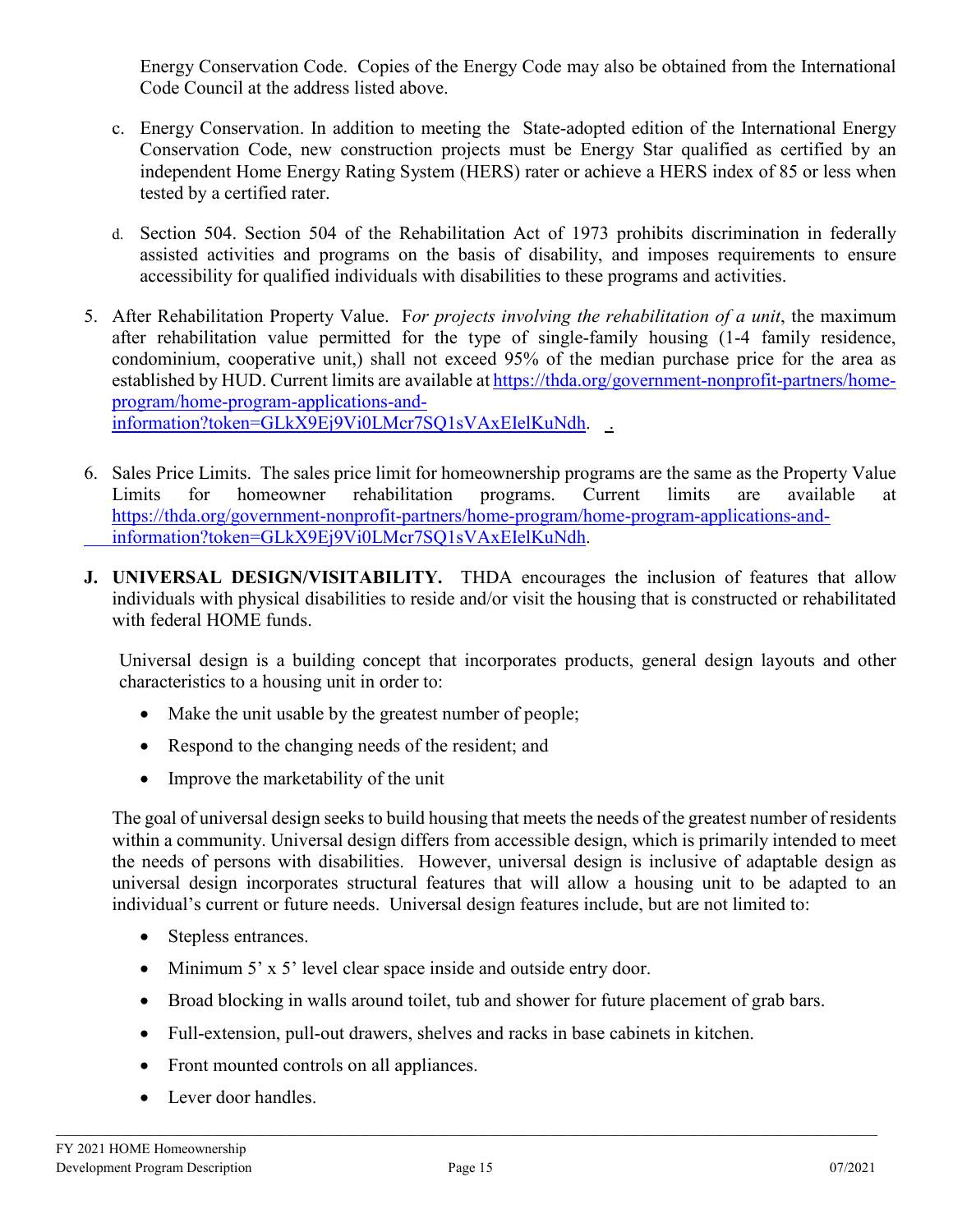Energy Conservation Code. Copies of the Energy Code may also be obtained from the International Code Council at the address listed above.

- c. Energy Conservation. In addition to meeting the State-adopted edition of the International Energy Conservation Code, new construction projects must be Energy Star qualified as certified by an independent Home Energy Rating System (HERS) rater or achieve a HERS index of 85 or less when tested by a certified rater.
- d. Section 504. Section 504 of the Rehabilitation Act of 1973 prohibits discrimination in federally assisted activities and programs on the basis of disability, and imposes requirements to ensure accessibility for qualified individuals with disabilities to these programs and activities.
- 5. After Rehabilitation Property Value. F*or projects involving the rehabilitation of a unit*, the maximum after rehabilitation value permitted for the type of single-family housing (1-4 family residence, condominium, cooperative unit,) shall not exceed 95% of the median purchase price for the area as established by HUD. Current limits are available at [https://thda.org/government-nonprofit-partners/home](https://thda.org/government-nonprofit-partners/home-program/home-program-applications-and-information?token=GLkX9Ej9Vi0LMcr7SQ1sVAxEIelKuNdh)[program/home-program-applications-and](https://thda.org/government-nonprofit-partners/home-program/home-program-applications-and-information?token=GLkX9Ej9Vi0LMcr7SQ1sVAxEIelKuNdh)[information?token=GLkX9Ej9Vi0LMcr7SQ1sVAxEIelKuNdh.](https://thda.org/government-nonprofit-partners/home-program/home-program-applications-and-information?token=GLkX9Ej9Vi0LMcr7SQ1sVAxEIelKuNdh) .
- 6. Sales Price Limits. The sales price limit for homeownership programs are the same as the Property Value Limits for homeowner rehabilitation programs. Current limits are available at [https://thda.org/government-nonprofit-partners/home-program/home-program-applications-and](https://thda.org/government-nonprofit-partners/home-program/home-program-applications-and-%09information?token=GLkX9Ej9Vi0LMcr7SQ1sVAxEIelKuNdh)[information?token=GLkX9Ej9Vi0LMcr7SQ1sVAxEIelKuNdh.](https://thda.org/government-nonprofit-partners/home-program/home-program-applications-and-%09information?token=GLkX9Ej9Vi0LMcr7SQ1sVAxEIelKuNdh)
- **J. UNIVERSAL DESIGN/VISITABILITY.** THDA encourages the inclusion of features that allow individuals with physical disabilities to reside and/or visit the housing that is constructed or rehabilitated with federal HOME funds.

Universal design is a building concept that incorporates products, general design layouts and other characteristics to a housing unit in order to:

- Make the unit usable by the greatest number of people;
- Respond to the changing needs of the resident; and
- Improve the marketability of the unit

The goal of universal design seeks to build housing that meets the needs of the greatest number of residents within a community. Universal design differs from accessible design, which is primarily intended to meet the needs of persons with disabilities. However, universal design is inclusive of adaptable design as universal design incorporates structural features that will allow a housing unit to be adapted to an individual's current or future needs. Universal design features include, but are not limited to:

- Stepless entrances.
- Minimum 5' x 5' level clear space inside and outside entry door.
- Broad blocking in walls around toilet, tub and shower for future placement of grab bars.
- Full-extension, pull-out drawers, shelves and racks in base cabinets in kitchen.
- Front mounted controls on all appliances.
- Lever door handles.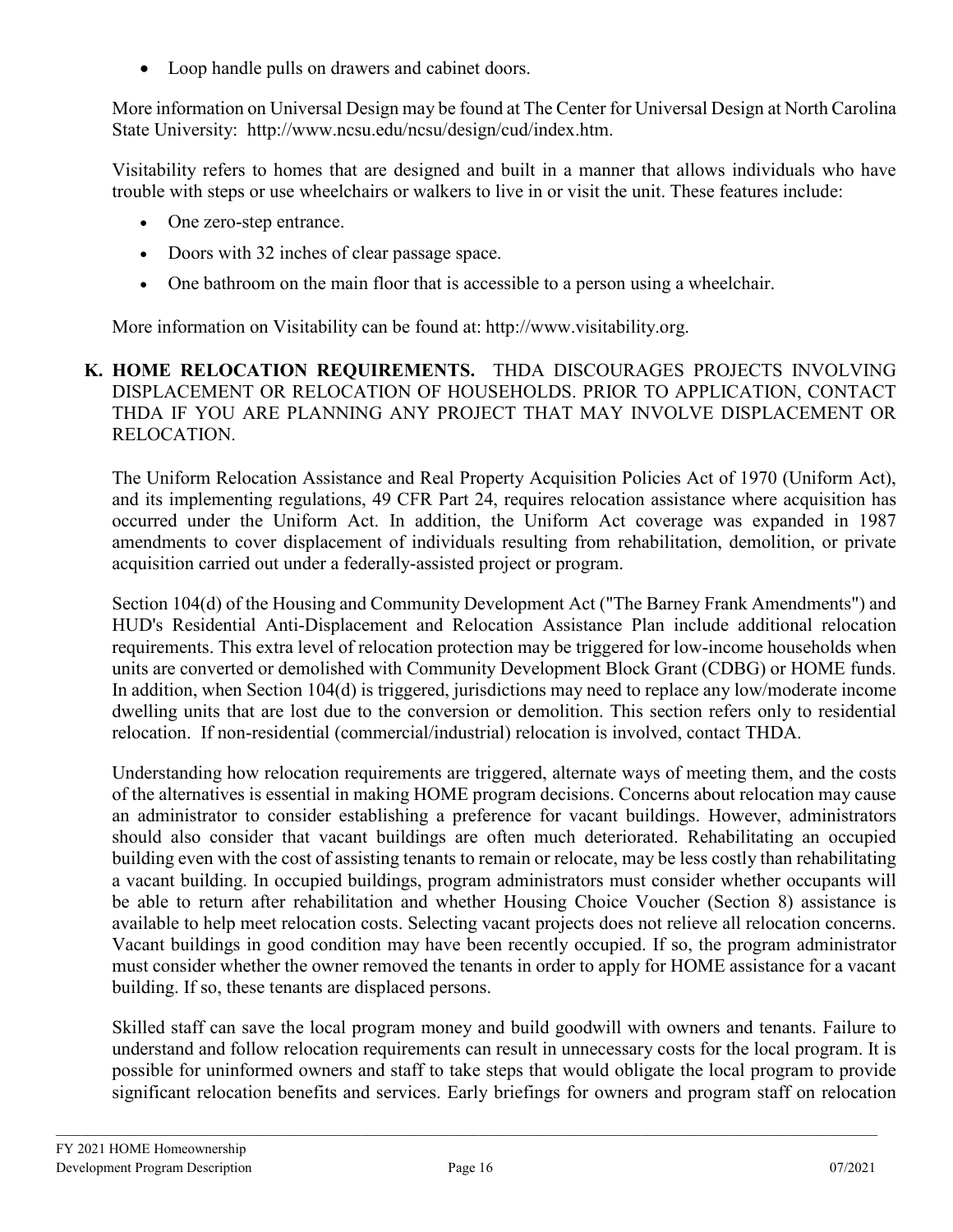• Loop handle pulls on drawers and cabinet doors.

More information on Universal Design may be found at The Center for Universal Design at North Carolina State University: [http://www.ncsu.edu/ncsu/design/cud/index.htm.](http://www.ncsu.edu/ncsu/design/cud/index.htm)

Visitability refers to homes that are designed and built in a manner that allows individuals who have trouble with steps or use wheelchairs or walkers to live in or visit the unit. These features include:

- One zero-step entrance.
- Doors with 32 inches of clear passage space.
- One bathroom on the main floor that is accessible to a person using a wheelchair.

More information on Visitability can be found at: [http://www.visitability.org.](http://www.visitability.org/)

### **K. HOME RELOCATION REQUIREMENTS.** THDA DISCOURAGES PROJECTS INVOLVING DISPLACEMENT OR RELOCATION OF HOUSEHOLDS. PRIOR TO APPLICATION, CONTACT THDA IF YOU ARE PLANNING ANY PROJECT THAT MAY INVOLVE DISPLACEMENT OR RELOCATION.

The Uniform Relocation Assistance and Real Property Acquisition Policies Act of 1970 (Uniform Act), and its implementing regulations, 49 CFR Part 24, requires relocation assistance where acquisition has occurred under the Uniform Act. In addition, the Uniform Act coverage was expanded in 1987 amendments to cover displacement of individuals resulting from rehabilitation, demolition, or private acquisition carried out under a federally-assisted project or program.

Section 104(d) of the Housing and Community Development Act ("The Barney Frank Amendments") and HUD's Residential Anti-Displacement and Relocation Assistance Plan include additional relocation requirements. This extra level of relocation protection may be triggered for low-income households when units are converted or demolished with Community Development Block Grant (CDBG) or HOME funds. In addition, when Section 104(d) is triggered, jurisdictions may need to replace any low/moderate income dwelling units that are lost due to the conversion or demolition. This section refers only to residential relocation. If non-residential (commercial/industrial) relocation is involved, contact THDA.

Understanding how relocation requirements are triggered, alternate ways of meeting them, and the costs of the alternatives is essential in making HOME program decisions. Concerns about relocation may cause an administrator to consider establishing a preference for vacant buildings. However, administrators should also consider that vacant buildings are often much deteriorated. Rehabilitating an occupied building even with the cost of assisting tenants to remain or relocate, may be less costly than rehabilitating a vacant building. In occupied buildings, program administrators must consider whether occupants will be able to return after rehabilitation and whether Housing Choice Voucher (Section 8) assistance is available to help meet relocation costs. Selecting vacant projects does not relieve all relocation concerns. Vacant buildings in good condition may have been recently occupied. If so, the program administrator must consider whether the owner removed the tenants in order to apply for HOME assistance for a vacant building. If so, these tenants are displaced persons.

Skilled staff can save the local program money and build goodwill with owners and tenants. Failure to understand and follow relocation requirements can result in unnecessary costs for the local program. It is possible for uninformed owners and staff to take steps that would obligate the local program to provide significant relocation benefits and services. Early briefings for owners and program staff on relocation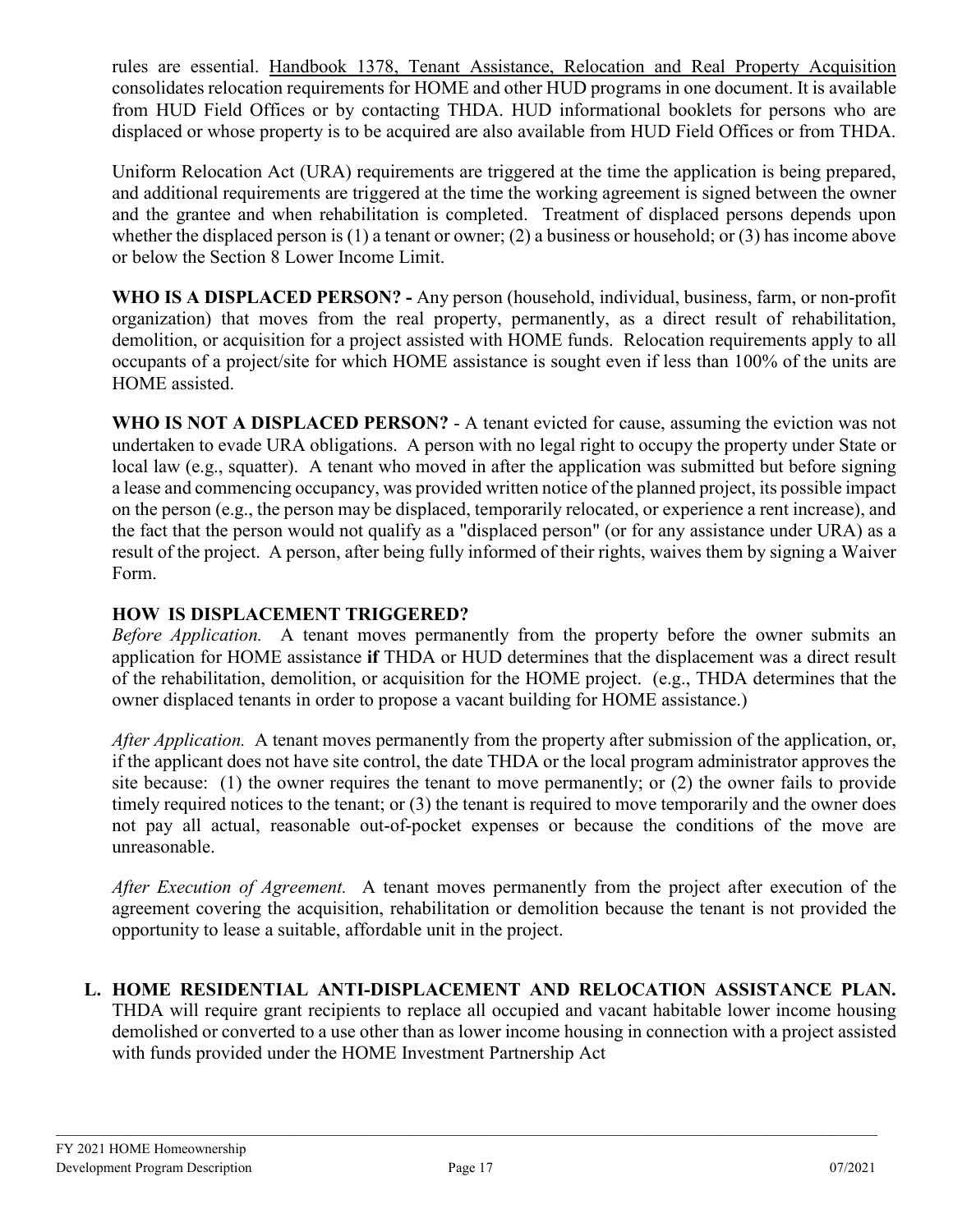rules are essential. Handbook 1378, Tenant Assistance, Relocation and Real Property Acquisition consolidates relocation requirements for HOME and other HUD programs in one document. It is available from HUD Field Offices or by contacting THDA. HUD informational booklets for persons who are displaced or whose property is to be acquired are also available from HUD Field Offices or from THDA.

Uniform Relocation Act (URA) requirements are triggered at the time the application is being prepared, and additional requirements are triggered at the time the working agreement is signed between the owner and the grantee and when rehabilitation is completed. Treatment of displaced persons depends upon whether the displaced person is (1) a tenant or owner; (2) a business or household; or (3) has income above or below the Section 8 Lower Income Limit.

**WHO IS A DISPLACED PERSON? -** Any person (household, individual, business, farm, or non-profit organization) that moves from the real property, permanently, as a direct result of rehabilitation, demolition, or acquisition for a project assisted with HOME funds. Relocation requirements apply to all occupants of a project/site for which HOME assistance is sought even if less than 100% of the units are HOME assisted.

**WHO IS NOT A DISPLACED PERSON?** - A tenant evicted for cause, assuming the eviction was not undertaken to evade URA obligations. A person with no legal right to occupy the property under State or local law (e.g., squatter). A tenant who moved in after the application was submitted but before signing a lease and commencing occupancy, was provided written notice of the planned project, its possible impact on the person (e.g., the person may be displaced, temporarily relocated, or experience a rent increase), and the fact that the person would not qualify as a "displaced person" (or for any assistance under URA) as a result of the project. A person, after being fully informed of their rights, waives them by signing a Waiver Form.

# **HOW IS DISPLACEMENT TRIGGERED?**

*Before Application.* A tenant moves permanently from the property before the owner submits an application for HOME assistance **if** THDA or HUD determines that the displacement was a direct result of the rehabilitation, demolition, or acquisition for the HOME project. (e.g., THDA determines that the owner displaced tenants in order to propose a vacant building for HOME assistance.)

*After Application.* A tenant moves permanently from the property after submission of the application, or, if the applicant does not have site control, the date THDA or the local program administrator approves the site because: (1) the owner requires the tenant to move permanently; or (2) the owner fails to provide timely required notices to the tenant; or (3) the tenant is required to move temporarily and the owner does not pay all actual, reasonable out-of-pocket expenses or because the conditions of the move are unreasonable.

*After Execution of Agreement.* A tenant moves permanently from the project after execution of the agreement covering the acquisition, rehabilitation or demolition because the tenant is not provided the opportunity to lease a suitable, affordable unit in the project.

# **L. HOME RESIDENTIAL ANTI-DISPLACEMENT AND RELOCATION ASSISTANCE PLAN.**

THDA will require grant recipients to replace all occupied and vacant habitable lower income housing demolished or converted to a use other than as lower income housing in connection with a project assisted with funds provided under the HOME Investment Partnership Act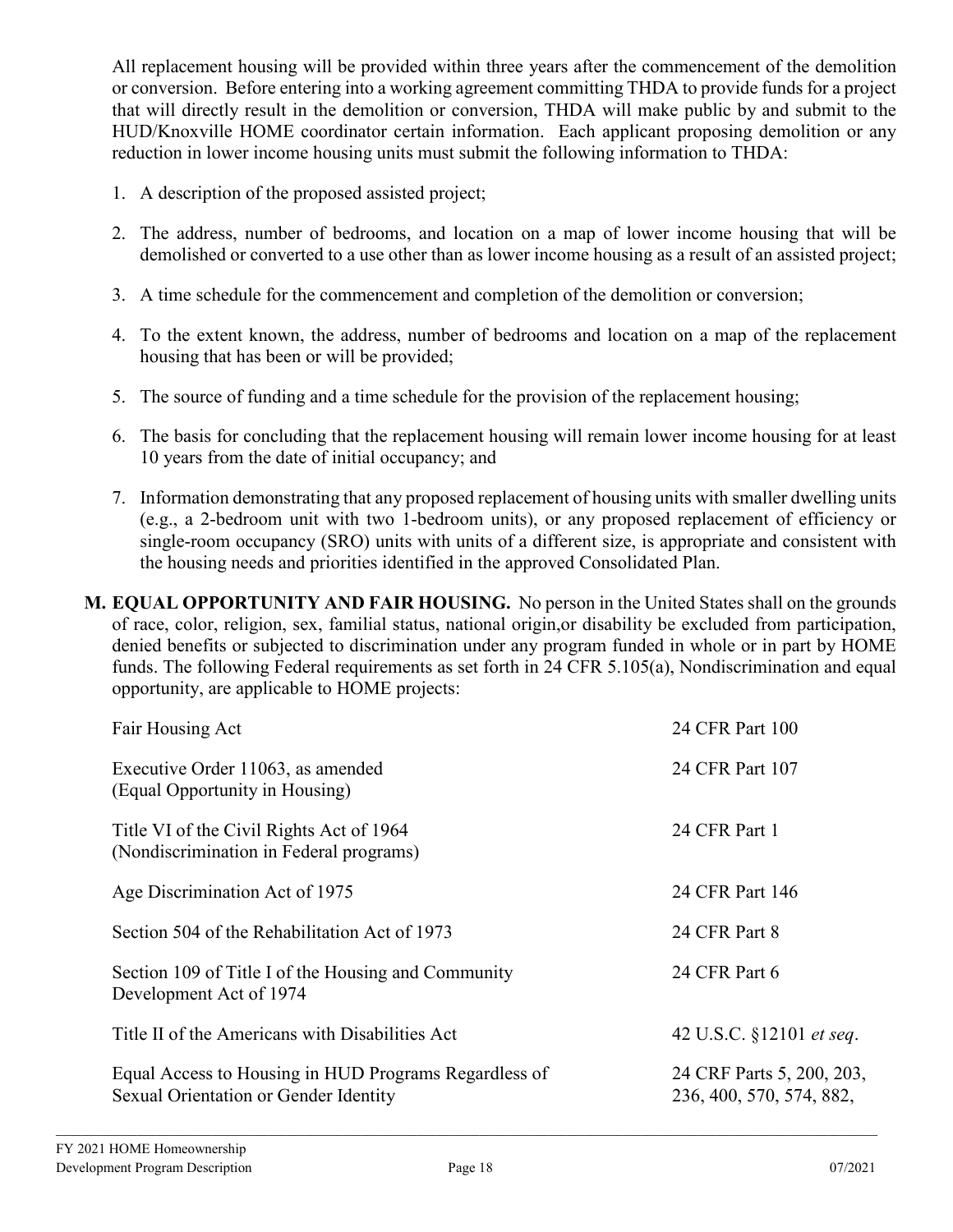All replacement housing will be provided within three years after the commencement of the demolition or conversion. Before entering into a working agreement committing THDA to provide funds for a project that will directly result in the demolition or conversion, THDA will make public by and submit to the HUD/Knoxville HOME coordinator certain information. Each applicant proposing demolition or any reduction in lower income housing units must submit the following information to THDA:

- 1. A description of the proposed assisted project;
- 2. The address, number of bedrooms, and location on a map of lower income housing that will be demolished or converted to a use other than as lower income housing as a result of an assisted project;
- 3. A time schedule for the commencement and completion of the demolition or conversion;
- 4. To the extent known, the address, number of bedrooms and location on a map of the replacement housing that has been or will be provided;
- 5. The source of funding and a time schedule for the provision of the replacement housing;
- 6. The basis for concluding that the replacement housing will remain lower income housing for at least 10 years from the date of initial occupancy; and
- 7. Information demonstrating that any proposed replacement of housing units with smaller dwelling units (e.g., a 2-bedroom unit with two 1-bedroom units), or any proposed replacement of efficiency or single-room occupancy (SRO) units with units of a different size, is appropriate and consistent with the housing needs and priorities identified in the approved Consolidated Plan.
- **M. EQUAL OPPORTUNITY AND FAIR HOUSING.** No person in the United States shall on the grounds of race, color, religion, sex, familial status, national origin,or disability be excluded from participation, denied benefits or subjected to discrimination under any program funded in whole or in part by HOME funds. The following Federal requirements as set forth in 24 CFR 5.105(a), Nondiscrimination and equal opportunity, are applicable to HOME projects:

| Fair Housing Act                                                                               | 24 CFR Part 100                                       |
|------------------------------------------------------------------------------------------------|-------------------------------------------------------|
| Executive Order 11063, as amended<br>(Equal Opportunity in Housing)                            | 24 CFR Part 107                                       |
| Title VI of the Civil Rights Act of 1964<br>(Nondiscrimination in Federal programs)            | 24 CFR Part 1                                         |
| Age Discrimination Act of 1975                                                                 | 24 CFR Part 146                                       |
| Section 504 of the Rehabilitation Act of 1973                                                  | 24 CFR Part 8                                         |
| Section 109 of Title I of the Housing and Community<br>Development Act of 1974                 | 24 CFR Part 6                                         |
| Title II of the Americans with Disabilities Act                                                | 42 U.S.C. §12101 et seq.                              |
| Equal Access to Housing in HUD Programs Regardless of<br>Sexual Orientation or Gender Identity | 24 CRF Parts 5, 200, 203,<br>236, 400, 570, 574, 882, |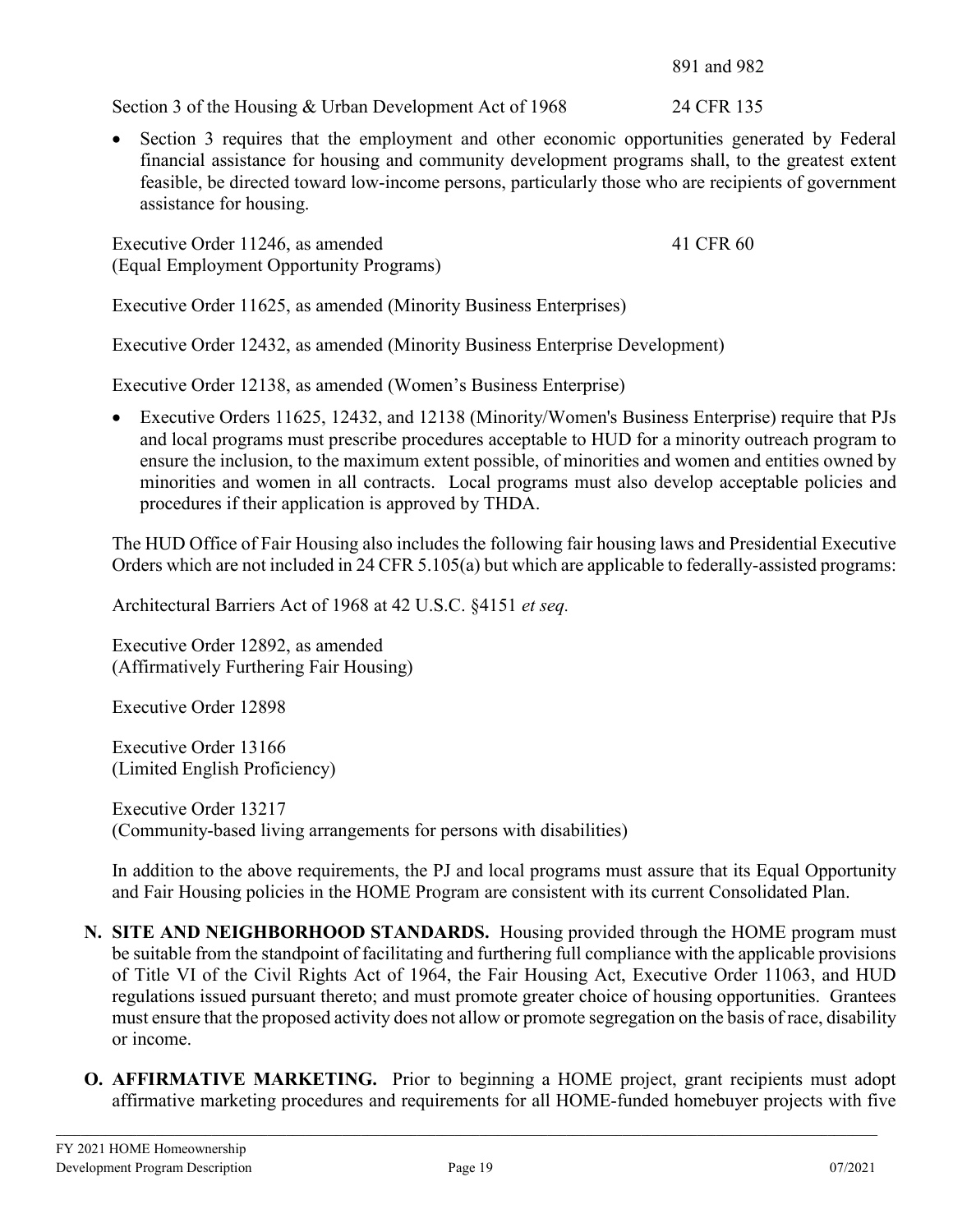891 and 982

Section 3 of the Housing & Urban Development Act of 1968 24 CFR 135

• Section 3 requires that the employment and other economic opportunities generated by Federal financial assistance for housing and community development programs shall, to the greatest extent feasible, be directed toward low-income persons, particularly those who are recipients of government assistance for housing.

Executive Order 11246, as amended 41 CFR 60 (Equal Employment Opportunity Programs)

Executive Order 11625, as amended (Minority Business Enterprises)

Executive Order 12432, as amended (Minority Business Enterprise Development)

Executive Order 12138, as amended (Women's Business Enterprise)

• Executive Orders 11625, 12432, and 12138 (Minority/Women's Business Enterprise) require that PJs and local programs must prescribe procedures acceptable to HUD for a minority outreach program to ensure the inclusion, to the maximum extent possible, of minorities and women and entities owned by minorities and women in all contracts. Local programs must also develop acceptable policies and procedures if their application is approved by THDA.

The HUD Office of Fair Housing also includes the following fair housing laws and Presidential Executive Orders which are not included in 24 CFR 5.105(a) but which are applicable to federally-assisted programs:

Architectural Barriers Act of 1968 at 42 U.S.C. §4151 *et seq.*

Executive Order 12892, as amended (Affirmatively Furthering Fair Housing)

Executive Order 12898

Executive Order 13166 (Limited English Proficiency)

Executive Order 13217 (Community-based living arrangements for persons with disabilities)

In addition to the above requirements, the PJ and local programs must assure that its Equal Opportunity and Fair Housing policies in the HOME Program are consistent with its current Consolidated Plan.

- **N. SITE AND NEIGHBORHOOD STANDARDS.** Housing provided through the HOME program must be suitable from the standpoint of facilitating and furthering full compliance with the applicable provisions of Title VI of the Civil Rights Act of 1964, the Fair Housing Act, Executive Order 11063, and HUD regulations issued pursuant thereto; and must promote greater choice of housing opportunities. Grantees must ensure that the proposed activity does not allow or promote segregation on the basis of race, disability or income.
- **O. AFFIRMATIVE MARKETING.** Prior to beginning a HOME project, grant recipients must adopt affirmative marketing procedures and requirements for all HOME-funded homebuyer projects with five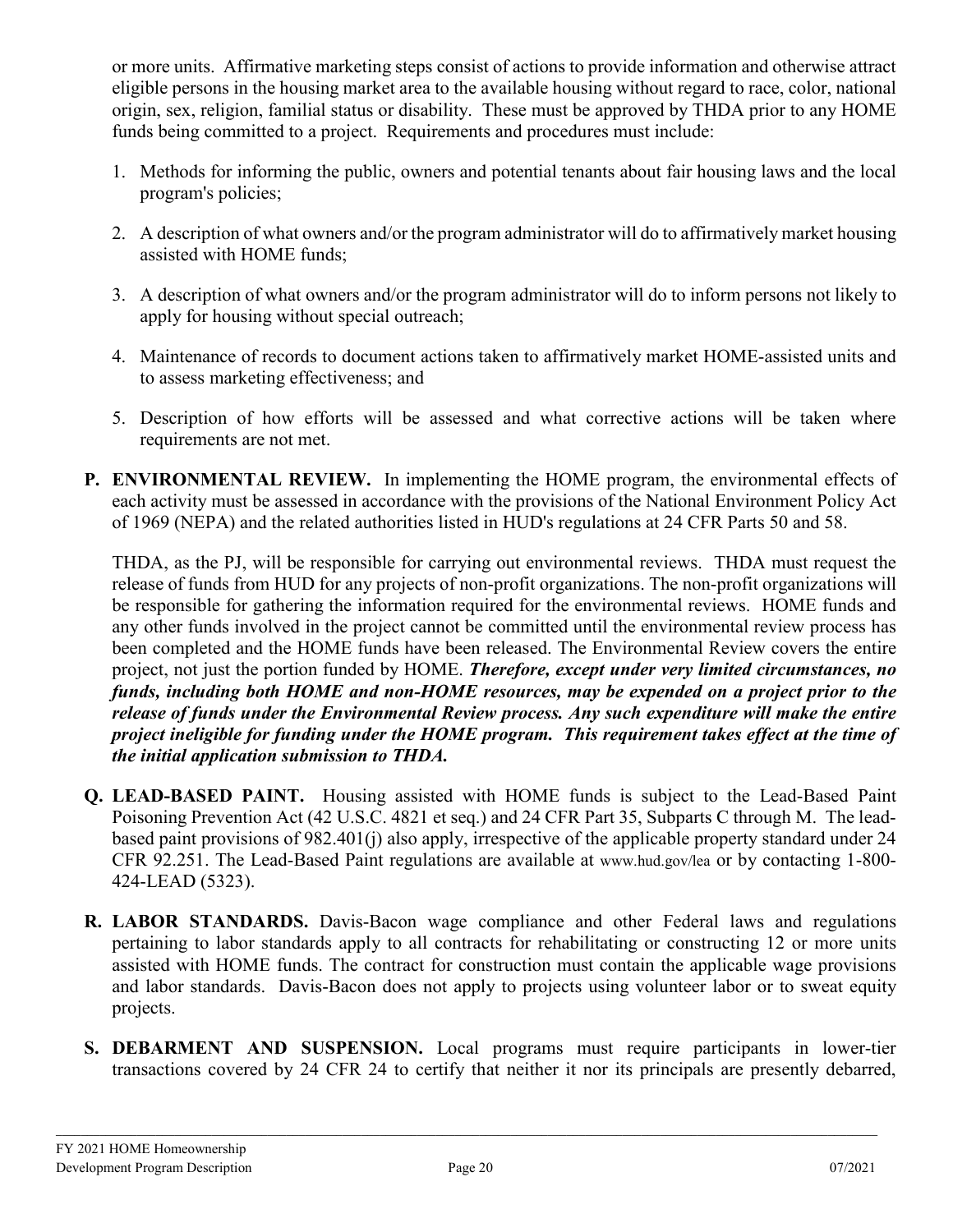or more units. Affirmative marketing steps consist of actions to provide information and otherwise attract eligible persons in the housing market area to the available housing without regard to race, color, national origin, sex, religion, familial status or disability. These must be approved by THDA prior to any HOME funds being committed to a project. Requirements and procedures must include:

- 1. Methods for informing the public, owners and potential tenants about fair housing laws and the local program's policies;
- 2. A description of what owners and/or the program administrator will do to affirmatively market housing assisted with HOME funds;
- 3. A description of what owners and/or the program administrator will do to inform persons not likely to apply for housing without special outreach;
- 4. Maintenance of records to document actions taken to affirmatively market HOME-assisted units and to assess marketing effectiveness; and
- 5. Description of how efforts will be assessed and what corrective actions will be taken where requirements are not met.
- **P. ENVIRONMENTAL REVIEW.** In implementing the HOME program, the environmental effects of each activity must be assessed in accordance with the provisions of the National Environment Policy Act of 1969 (NEPA) and the related authorities listed in HUD's regulations at 24 CFR Parts 50 and 58.

THDA, as the PJ, will be responsible for carrying out environmental reviews. THDA must request the release of funds from HUD for any projects of non-profit organizations. The non-profit organizations will be responsible for gathering the information required for the environmental reviews. HOME funds and any other funds involved in the project cannot be committed until the environmental review process has been completed and the HOME funds have been released. The Environmental Review covers the entire project, not just the portion funded by HOME. *Therefore, except under very limited circumstances, no funds, including both HOME and non-HOME resources, may be expended on a project prior to the release of funds under the Environmental Review process. Any such expenditure will make the entire project ineligible for funding under the HOME program.**This requirement takes effect at the time of the initial application submission to THDA.* 

- **Q. LEAD-BASED PAINT.** Housing assisted with HOME funds is subject to the Lead-Based Paint Poisoning Prevention Act (42 U.S.C. 4821 et seq.) and 24 CFR Part 35, Subparts C through M. The leadbased paint provisions of 982.401(j) also apply, irrespective of the applicable property standard under 24 CFR 92.251. The Lead-Based Paint regulations are available at [www.hud.gov/lea](http://www.hud.gov/lea) or by contacting 1-800- 424-LEAD (5323).
- **R. LABOR STANDARDS.** Davis-Bacon wage compliance and other Federal laws and regulations pertaining to labor standards apply to all contracts for rehabilitating or constructing 12 or more units assisted with HOME funds. The contract for construction must contain the applicable wage provisions and labor standards. Davis-Bacon does not apply to projects using volunteer labor or to sweat equity projects.
- **S. DEBARMENT AND SUSPENSION.** Local programs must require participants in lower-tier transactions covered by 24 CFR 24 to certify that neither it nor its principals are presently debarred,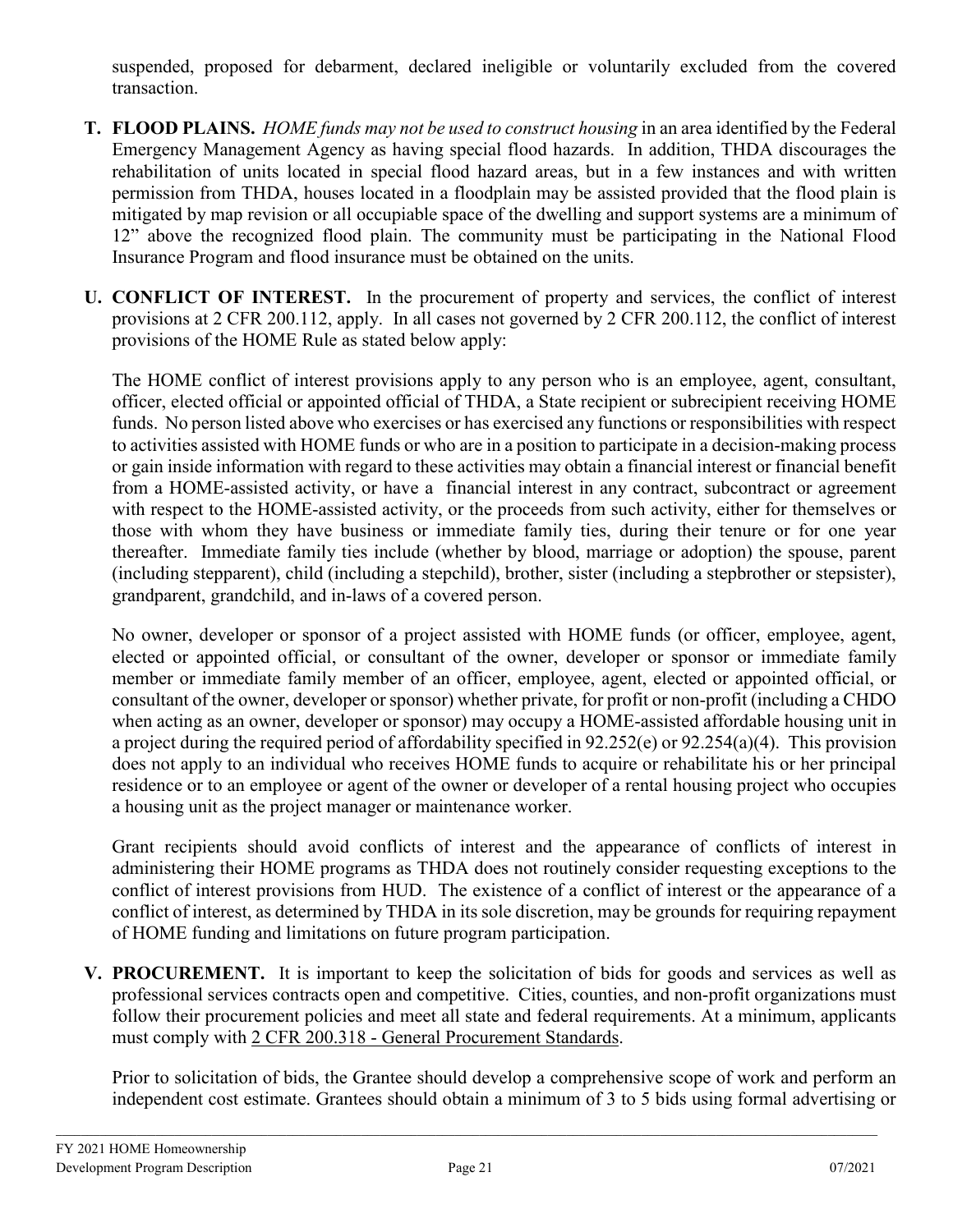suspended, proposed for debarment, declared ineligible or voluntarily excluded from the covered transaction.

- **T. FLOOD PLAINS.** *HOME funds may not be used to construct housing* in an area identified by the Federal Emergency Management Agency as having special flood hazards. In addition, THDA discourages the rehabilitation of units located in special flood hazard areas, but in a few instances and with written permission from THDA, houses located in a floodplain may be assisted provided that the flood plain is mitigated by map revision or all occupiable space of the dwelling and support systems are a minimum of 12" above the recognized flood plain. The community must be participating in the National Flood Insurance Program and flood insurance must be obtained on the units.
- **U. CONFLICT OF INTEREST.** In the procurement of property and services, the conflict of interest provisions at 2 CFR 200.112, apply. In all cases not governed by 2 CFR 200.112, the conflict of interest provisions of the HOME Rule as stated below apply:

The HOME conflict of interest provisions apply to any person who is an employee, agent, consultant, officer, elected official or appointed official of THDA, a State recipient or subrecipient receiving HOME funds. No person listed above who exercises or has exercised any functions or responsibilities with respect to activities assisted with HOME funds or who are in a position to participate in a decision-making process or gain inside information with regard to these activities may obtain a financial interest or financial benefit from a HOME-assisted activity, or have a financial interest in any contract, subcontract or agreement with respect to the HOME-assisted activity, or the proceeds from such activity, either for themselves or those with whom they have business or immediate family ties, during their tenure or for one year thereafter. Immediate family ties include (whether by blood, marriage or adoption) the spouse, parent (including stepparent), child (including a stepchild), brother, sister (including a stepbrother or stepsister), grandparent, grandchild, and in-laws of a covered person.

No owner, developer or sponsor of a project assisted with HOME funds (or officer, employee, agent, elected or appointed official, or consultant of the owner, developer or sponsor or immediate family member or immediate family member of an officer, employee, agent, elected or appointed official, or consultant of the owner, developer or sponsor) whether private, for profit or non-profit (including a CHDO when acting as an owner, developer or sponsor) may occupy a HOME-assisted affordable housing unit in a project during the required period of affordability specified in 92.252(e) or 92.254(a)(4). This provision does not apply to an individual who receives HOME funds to acquire or rehabilitate his or her principal residence or to an employee or agent of the owner or developer of a rental housing project who occupies a housing unit as the project manager or maintenance worker.

Grant recipients should avoid conflicts of interest and the appearance of conflicts of interest in administering their HOME programs as THDA does not routinely consider requesting exceptions to the conflict of interest provisions from HUD. The existence of a conflict of interest or the appearance of a conflict of interest, as determined by THDA in its sole discretion, may be grounds for requiring repayment of HOME funding and limitations on future program participation.

**V. PROCUREMENT.** It is important to keep the solicitation of bids for goods and services as well as professional services contracts open and competitive. Cities, counties, and non-profit organizations must follow their procurement policies and meet all state and federal requirements. At a minimum, applicants must comply with 2 CFR 200.318 - General Procurement Standards.

Prior to solicitation of bids, the Grantee should develop a comprehensive scope of work and perform an independent cost estimate. Grantees should obtain a minimum of 3 to 5 bids using formal advertising or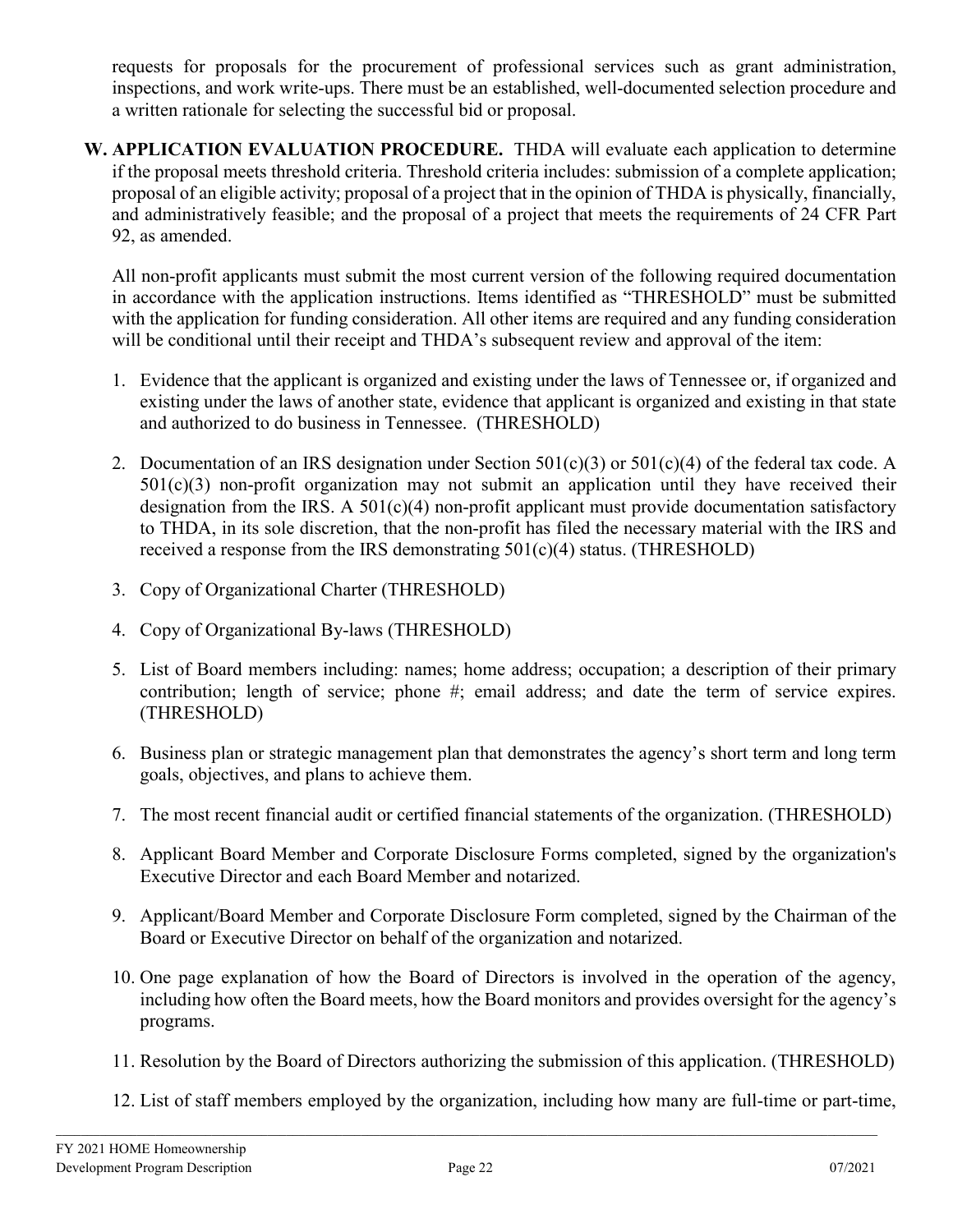requests for proposals for the procurement of professional services such as grant administration, inspections, and work write-ups. There must be an established, well-documented selection procedure and a written rationale for selecting the successful bid or proposal.

**W. APPLICATION EVALUATION PROCEDURE.** THDA will evaluate each application to determine if the proposal meets threshold criteria. Threshold criteria includes: submission of a complete application; proposal of an eligible activity; proposal of a project that in the opinion of THDA is physically, financially, and administratively feasible; and the proposal of a project that meets the requirements of 24 CFR Part 92, as amended.

All non-profit applicants must submit the most current version of the following required documentation in accordance with the application instructions. Items identified as "THRESHOLD" must be submitted with the application for funding consideration. All other items are required and any funding consideration will be conditional until their receipt and THDA's subsequent review and approval of the item:

- 1. Evidence that the applicant is organized and existing under the laws of Tennessee or, if organized and existing under the laws of another state, evidence that applicant is organized and existing in that state and authorized to do business in Tennessee. (THRESHOLD)
- 2. Documentation of an IRS designation under Section  $501(c)(3)$  or  $501(c)(4)$  of the federal tax code. A  $501(c)(3)$  non-profit organization may not submit an application until they have received their designation from the IRS. A  $501(c)(4)$  non-profit applicant must provide documentation satisfactory to THDA, in its sole discretion, that the non-profit has filed the necessary material with the IRS and received a response from the IRS demonstrating 501(c)(4) status. (THRESHOLD)
- 3. Copy of Organizational Charter (THRESHOLD)
- 4. Copy of Organizational By-laws (THRESHOLD)
- 5. List of Board members including: names; home address; occupation; a description of their primary contribution; length of service; phone #; email address; and date the term of service expires. (THRESHOLD)
- 6. Business plan or strategic management plan that demonstrates the agency's short term and long term goals, objectives, and plans to achieve them.
- 7. The most recent financial audit or certified financial statements of the organization. (THRESHOLD)
- 8. Applicant Board Member and Corporate Disclosure Forms completed, signed by the organization's Executive Director and each Board Member and notarized.
- 9. Applicant/Board Member and Corporate Disclosure Form completed, signed by the Chairman of the Board or Executive Director on behalf of the organization and notarized.
- 10. One page explanation of how the Board of Directors is involved in the operation of the agency, including how often the Board meets, how the Board monitors and provides oversight for the agency's programs.
- 11. Resolution by the Board of Directors authorizing the submission of this application. (THRESHOLD)
- 12. List of staff members employed by the organization, including how many are full-time or part-time,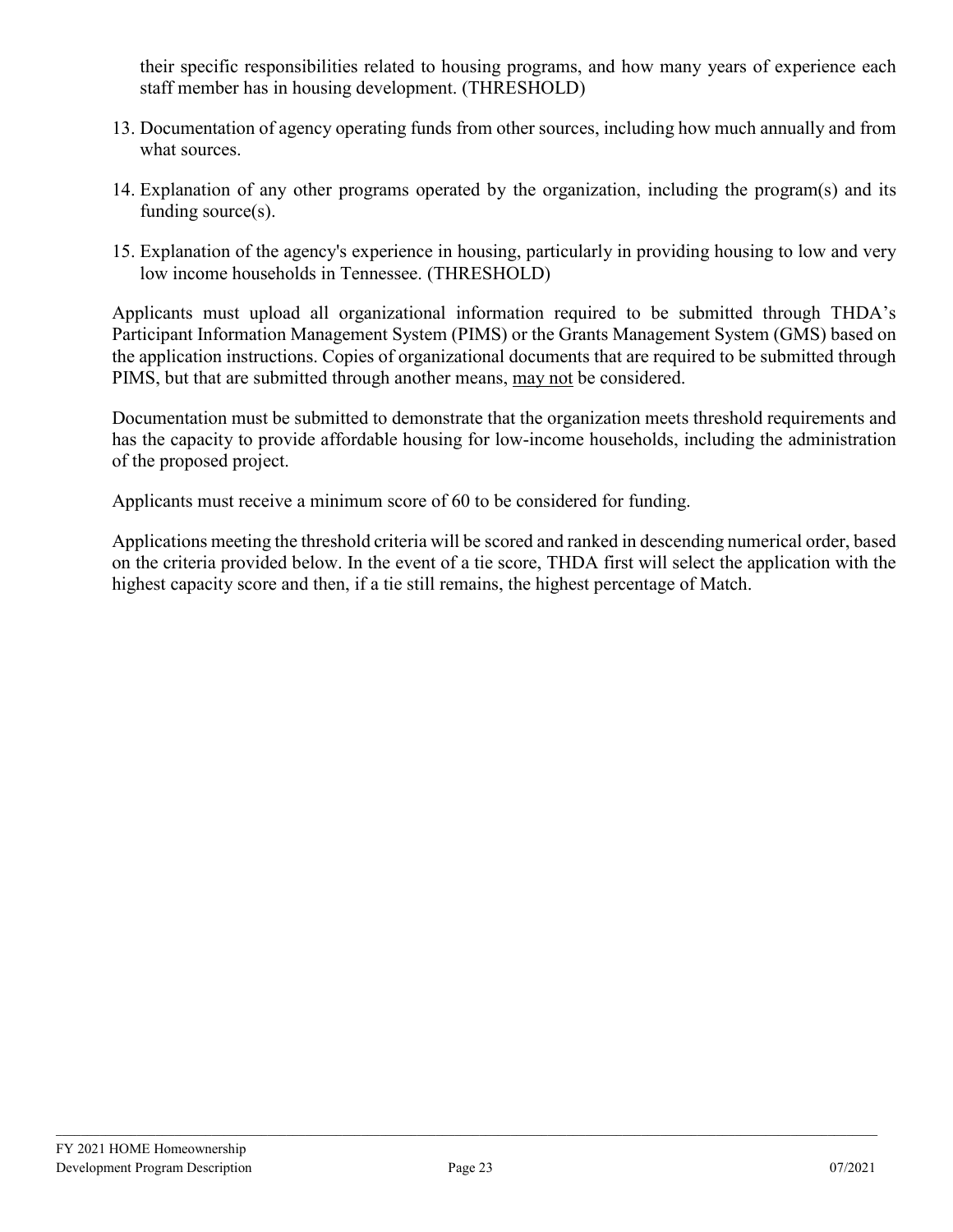their specific responsibilities related to housing programs, and how many years of experience each staff member has in housing development. (THRESHOLD)

- 13. Documentation of agency operating funds from other sources, including how much annually and from what sources.
- 14. Explanation of any other programs operated by the organization, including the program(s) and its funding source(s).
- 15. Explanation of the agency's experience in housing, particularly in providing housing to low and very low income households in Tennessee. (THRESHOLD)

Applicants must upload all organizational information required to be submitted through THDA's Participant Information Management System (PIMS) or the Grants Management System (GMS) based on the application instructions. Copies of organizational documents that are required to be submitted through PIMS, but that are submitted through another means, may not be considered.

Documentation must be submitted to demonstrate that the organization meets threshold requirements and has the capacity to provide affordable housing for low-income households, including the administration of the proposed project.

Applicants must receive a minimum score of 60 to be considered for funding.

Applications meeting the threshold criteria will be scored and ranked in descending numerical order, based on the criteria provided below. In the event of a tie score, THDA first will select the application with the highest capacity score and then, if a tie still remains, the highest percentage of Match.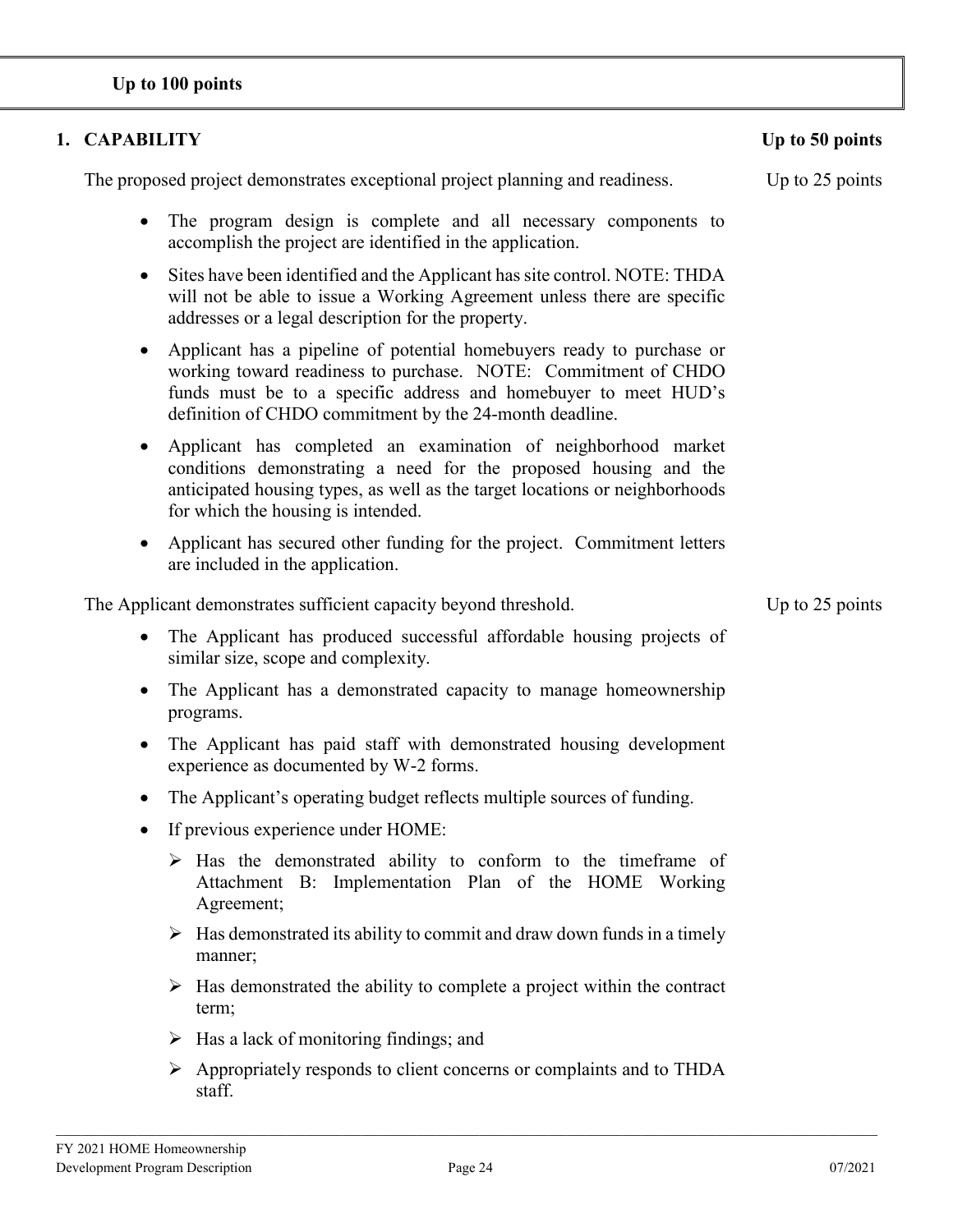# **Up to 100 points**

# **1. CAPABILITY Up to 50 points**

The proposed project demonstrates exceptional project planning and readiness. Up to 25 points

- The program design is complete and all necessary components to accomplish the project are identified in the application.
- Sites have been identified and the Applicant has site control. NOTE: THDA will not be able to issue a Working Agreement unless there are specific addresses or a legal description for the property.
- Applicant has a pipeline of potential homebuyers ready to purchase or working toward readiness to purchase. NOTE: Commitment of CHDO funds must be to a specific address and homebuyer to meet HUD's definition of CHDO commitment by the 24-month deadline.
- Applicant has completed an examination of neighborhood market conditions demonstrating a need for the proposed housing and the anticipated housing types, as well as the target locations or neighborhoods for which the housing is intended.
- Applicant has secured other funding for the project. Commitment letters are included in the application.

The Applicant demonstrates sufficient capacity beyond threshold. Up to 25 points

- The Applicant has produced successful affordable housing projects of similar size, scope and complexity.
- The Applicant has a demonstrated capacity to manage homeownership programs.
- The Applicant has paid staff with demonstrated housing development experience as documented by W-2 forms.
- The Applicant's operating budget reflects multiple sources of funding.
- If previous experience under HOME:
	- $\triangleright$  Has the demonstrated ability to conform to the timeframe of Attachment B: Implementation Plan of the HOME Working Agreement;
	- $\triangleright$  Has demonstrated its ability to commit and draw down funds in a timely manner;
	- $\triangleright$  Has demonstrated the ability to complete a project within the contract term;
	- $\triangleright$  Has a lack of monitoring findings; and
	- Appropriately responds to client concerns or complaints and to THDA staff.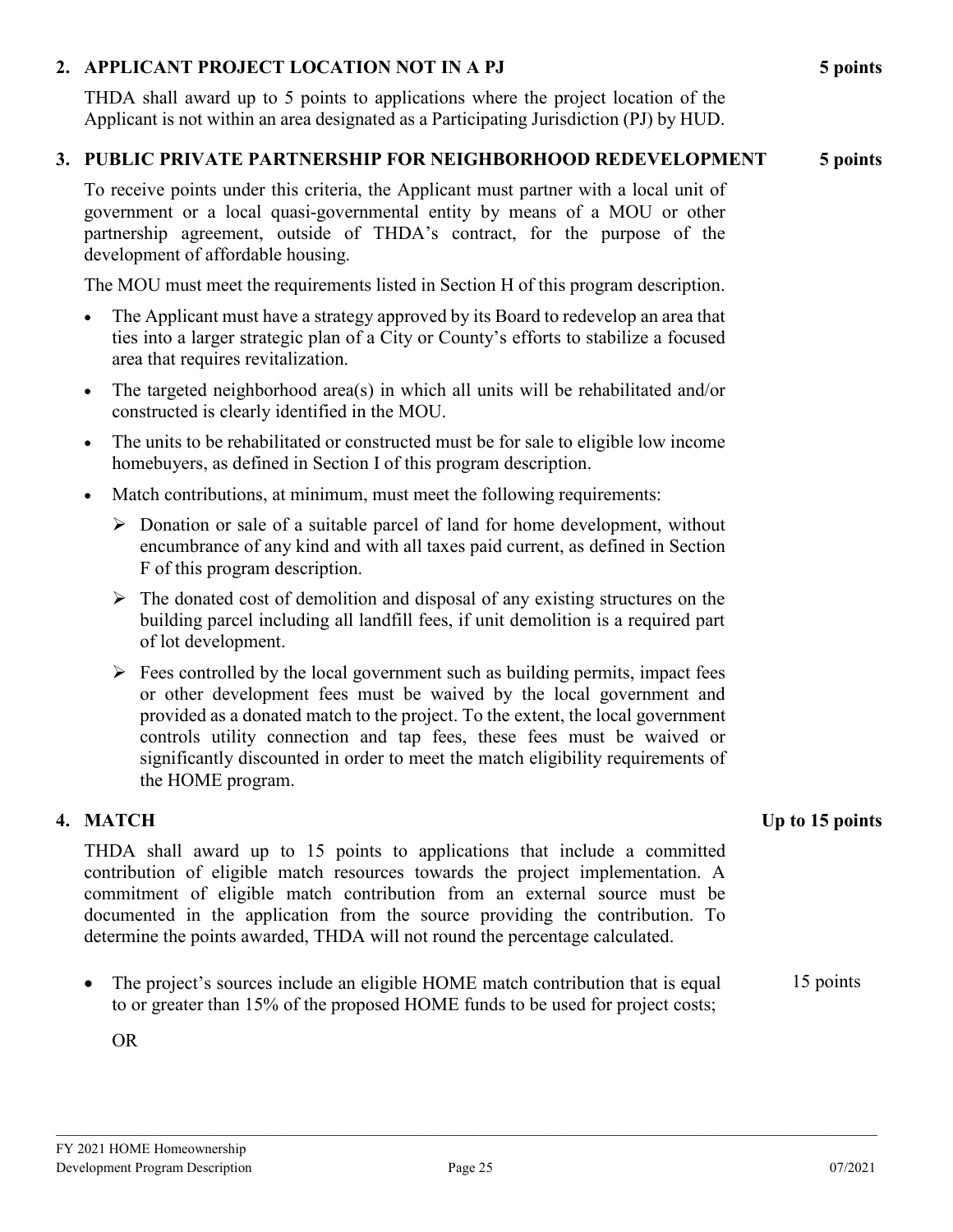# **2. APPLICANT PROJECT LOCATION NOT IN A PJ 5 points**

THDA shall award up to 5 points to applications where the project location of the Applicant is not within an area designated as a Participating Jurisdiction (PJ) by HUD.

#### **3. PUBLIC PRIVATE PARTNERSHIP FOR NEIGHBORHOOD REDEVELOPMENT 5 points**

To receive points under this criteria, the Applicant must partner with a local unit of government or a local quasi-governmental entity by means of a MOU or other partnership agreement, outside of THDA's contract, for the purpose of the development of affordable housing.

The MOU must meet the requirements listed in Section H of this program description.

- The Applicant must have a strategy approved by its Board to redevelop an area that ties into a larger strategic plan of a City or County's efforts to stabilize a focused area that requires revitalization.
- The targeted neighborhood area(s) in which all units will be rehabilitated and/or constructed is clearly identified in the MOU.
- The units to be rehabilitated or constructed must be for sale to eligible low income homebuyers, as defined in Section I of this program description.
- Match contributions, at minimum, must meet the following requirements:
	- $\triangleright$  Donation or sale of a suitable parcel of land for home development, without encumbrance of any kind and with all taxes paid current, as defined in Section F of this program description.
	- $\triangleright$  The donated cost of demolition and disposal of any existing structures on the building parcel including all landfill fees, if unit demolition is a required part of lot development.
	- $\triangleright$  Fees controlled by the local government such as building permits, impact fees or other development fees must be waived by the local government and provided as a donated match to the project. To the extent, the local government controls utility connection and tap fees, these fees must be waived or significantly discounted in order to meet the match eligibility requirements of the HOME program.

THDA shall award up to 15 points to applications that include a committed contribution of eligible match resources towards the project implementation. A commitment of eligible match contribution from an external source must be documented in the application from the source providing the contribution. To determine the points awarded, THDA will not round the percentage calculated.

The project's sources include an eligible HOME match contribution that is equal to or greater than 15% of the proposed HOME funds to be used for project costs; 15 points

OR

\_\_\_\_\_\_\_\_\_\_\_\_\_\_\_\_\_\_\_\_\_\_\_\_\_\_\_\_\_\_\_\_\_\_\_\_\_\_\_\_\_\_\_\_\_\_\_\_\_\_\_\_\_\_\_\_\_\_\_\_\_\_\_\_\_\_\_\_\_\_\_\_\_\_\_\_\_\_\_\_\_\_\_\_\_\_\_\_\_\_\_\_\_\_\_\_\_\_\_\_\_\_\_\_\_\_\_\_\_\_\_\_\_\_\_\_\_\_\_\_\_\_\_\_\_\_\_\_\_\_\_\_

# **4. MATCH Up to 15 points**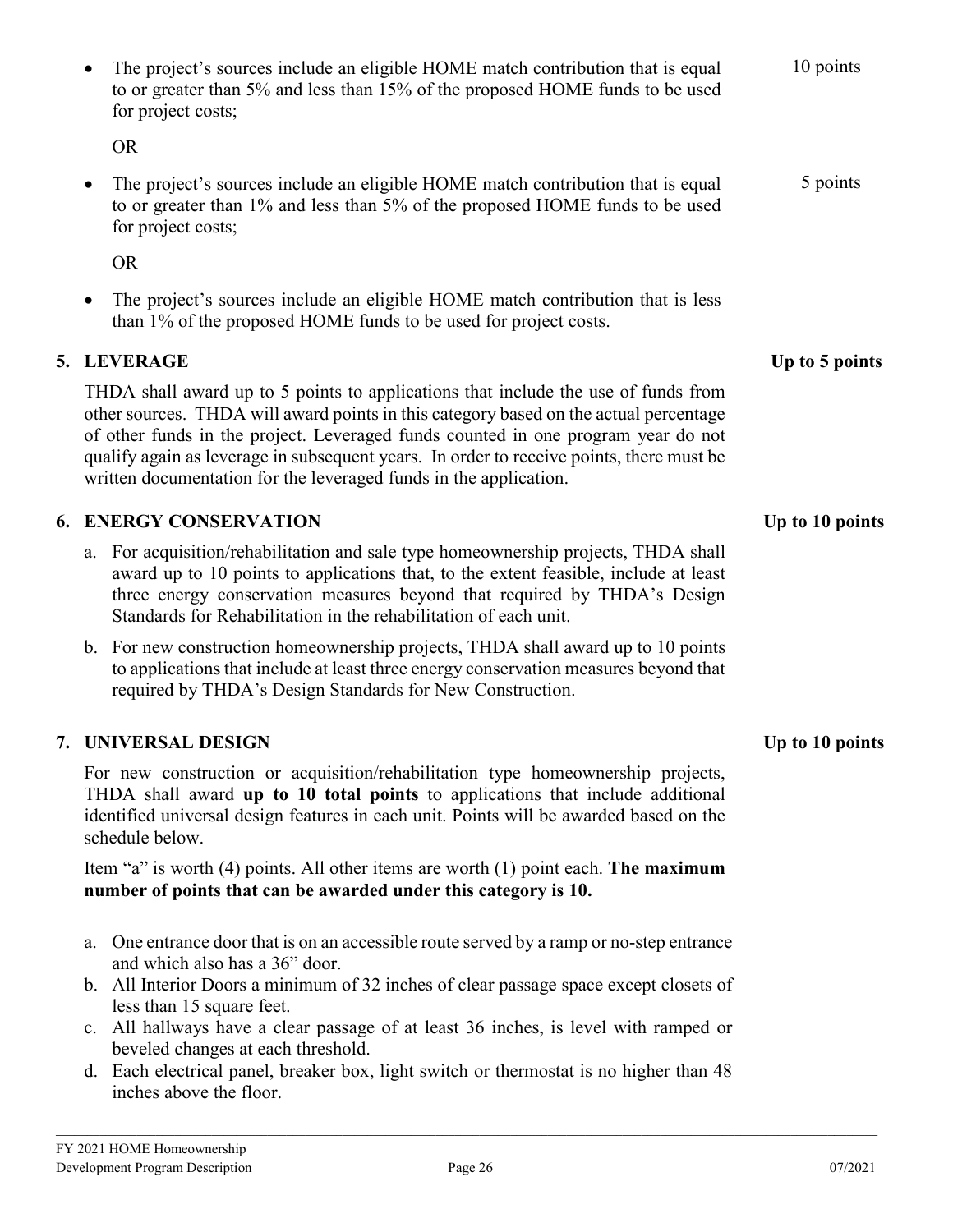The project's sources include an eligible HOME match contribution that is equal to or greater than 5% and less than 15% of the proposed HOME funds to be used 10 points The project's sources include an eligible HOME match contribution that is equal to or greater than 1% and less than 5% of the proposed HOME funds to be used 5 points The project's sources include an eligible HOME match contribution that is less than 1% of the proposed HOME funds to be used for project costs. **5. LEVERAGE Up to 5 points** THDA shall award up to 5 points to applications that include the use of funds from other sources. THDA will award points in this category based on the actual percentage of other funds in the project. Leveraged funds counted in one program year do not qualify again as leverage in subsequent years. In order to receive points, there must be written documentation for the leveraged funds in the application. **6. ENERGY CONSERVATION Up to 10 points** a. For acquisition/rehabilitation and sale type homeownership projects, THDA shall award up to 10 points to applications that, to the extent feasible, include at least three energy conservation measures beyond that required by THDA's Design Standards for Rehabilitation in the rehabilitation of each unit. b. For new construction homeownership projects, THDA shall award up to 10 points to applications that include at least three energy conservation measures beyond that required by THDA's Design Standards for New Construction. **7. UNIVERSAL DESIGN Up to 10 points** For new construction or acquisition/rehabilitation type homeownership projects, THDA shall award **up to 10 total points** to applications that include additional identified universal design features in each unit. Points will be awarded based on the Item "a" is worth (4) points. All other items are worth (1) point each. **The maximum number of points that can be awarded under this category is 10.**  a. One entrance door that is on an accessible route served by a ramp or no-step entrance and which also has a 36" door.

- b. All Interior Doors a minimum of 32 inches of clear passage space except closets of less than 15 square feet.
- c. All hallways have a clear passage of at least 36 inches, is level with ramped or beveled changes at each threshold.
- d. Each electrical panel, breaker box, light switch or thermostat is no higher than 48 inches above the floor.

schedule below.

for project costs;

for project costs;

OR

OR